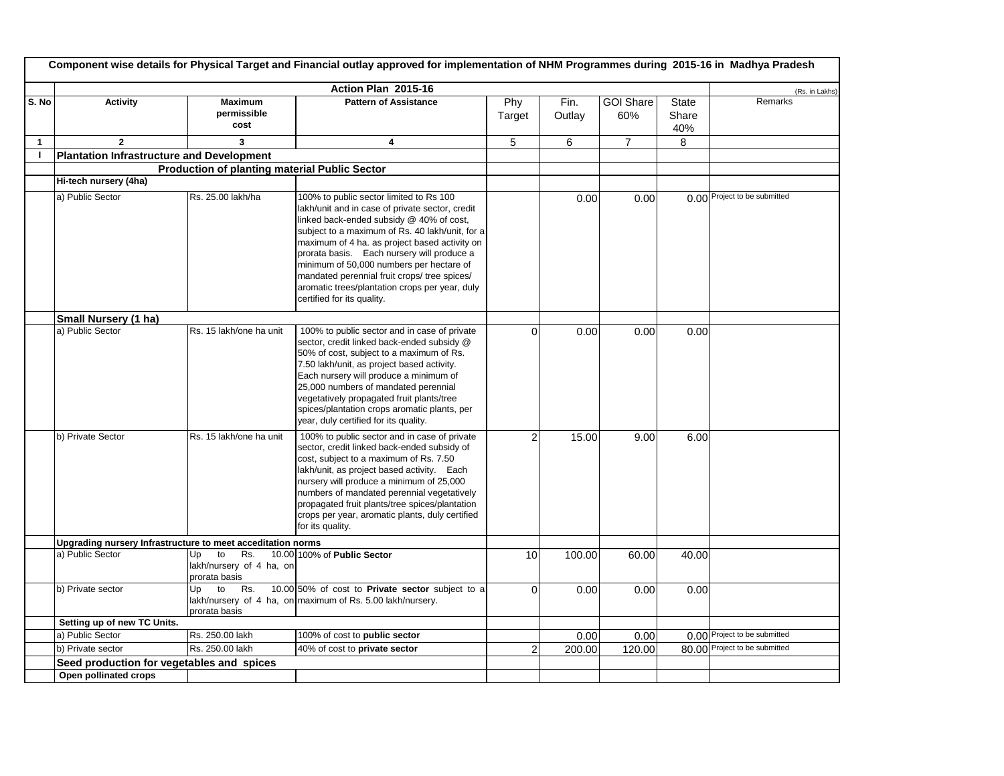|              | Component wise details for Physical Target and Financial outlay approved for implementation of NHM Programmes during 2015-16 in Madhya Pradesh |                                                              |                                                                                                                                                                                                                                                                                                                                                                                                                                                                      |                 |                |                  |                              |                               |  |  |
|--------------|------------------------------------------------------------------------------------------------------------------------------------------------|--------------------------------------------------------------|----------------------------------------------------------------------------------------------------------------------------------------------------------------------------------------------------------------------------------------------------------------------------------------------------------------------------------------------------------------------------------------------------------------------------------------------------------------------|-----------------|----------------|------------------|------------------------------|-------------------------------|--|--|
|              |                                                                                                                                                |                                                              | Action Plan 2015-16                                                                                                                                                                                                                                                                                                                                                                                                                                                  |                 |                |                  |                              | (Rs. in Lakhs)                |  |  |
| S. No        | <b>Activity</b>                                                                                                                                | <b>Maximum</b><br>permissible<br>cost                        | <b>Pattern of Assistance</b>                                                                                                                                                                                                                                                                                                                                                                                                                                         | Phy<br>Target   | Fin.<br>Outlay | GOI Share<br>60% | <b>State</b><br>Share<br>40% | Remarks                       |  |  |
| $\mathbf{1}$ | $\overline{2}$                                                                                                                                 | 3                                                            | 4                                                                                                                                                                                                                                                                                                                                                                                                                                                                    | 5               | 6              | $\overline{7}$   | 8                            |                               |  |  |
| $\mathbf{I}$ | <b>Plantation Infrastructure and Development</b>                                                                                               |                                                              |                                                                                                                                                                                                                                                                                                                                                                                                                                                                      |                 |                |                  |                              |                               |  |  |
|              |                                                                                                                                                | <b>Production of planting material Public Sector</b>         |                                                                                                                                                                                                                                                                                                                                                                                                                                                                      |                 |                |                  |                              |                               |  |  |
|              | Hi-tech nursery (4ha)                                                                                                                          |                                                              |                                                                                                                                                                                                                                                                                                                                                                                                                                                                      |                 |                |                  |                              |                               |  |  |
|              | a) Public Sector                                                                                                                               | Rs. 25.00 lakh/ha                                            | 100% to public sector limited to Rs 100<br>lakh/unit and in case of private sector, credit<br>linked back-ended subsidy @ 40% of cost,<br>subject to a maximum of Rs. 40 lakh/unit, for a<br>maximum of 4 ha. as project based activity on<br>prorata basis. Each nursery will produce a<br>minimum of 50,000 numbers per hectare of<br>mandated perennial fruit crops/ tree spices/<br>aromatic trees/plantation crops per year, duly<br>certified for its quality. |                 | 0.00           | 0.00             |                              | 0.00 Project to be submitted  |  |  |
|              | Small Nursery (1 ha)                                                                                                                           |                                                              |                                                                                                                                                                                                                                                                                                                                                                                                                                                                      |                 |                |                  |                              |                               |  |  |
|              | a) Public Sector                                                                                                                               | Rs. 15 lakh/one ha unit                                      | 100% to public sector and in case of private<br>sector, credit linked back-ended subsidy @<br>50% of cost, subject to a maximum of Rs.<br>7.50 lakh/unit, as project based activity.<br>Each nursery will produce a minimum of<br>25,000 numbers of mandated perennial<br>vegetatively propagated fruit plants/tree<br>spices/plantation crops aromatic plants, per<br>year, duly certified for its quality.                                                         | $\Omega$        | 0.00           | 0.00             | 0.00                         |                               |  |  |
|              | b) Private Sector                                                                                                                              | Rs. 15 lakh/one ha unit                                      | 100% to public sector and in case of private<br>sector, credit linked back-ended subsidy of<br>cost, subject to a maximum of Rs. 7.50<br>lakh/unit, as project based activity. Each<br>nursery will produce a minimum of 25,000<br>numbers of mandated perennial vegetatively<br>propagated fruit plants/tree spices/plantation<br>crops per year, aromatic plants, duly certified<br>for its quality.                                                               | $\overline{2}$  | 15.00          | 9.00             | 6.00                         |                               |  |  |
|              | Upgrading nursery Infrastructure to meet acceditation norms                                                                                    |                                                              |                                                                                                                                                                                                                                                                                                                                                                                                                                                                      |                 |                |                  |                              |                               |  |  |
|              | a) Public Sector                                                                                                                               | Rs.<br>Up<br>to<br>lakh/nursery of 4 ha, on<br>prorata basis | 10.00 100% of Public Sector                                                                                                                                                                                                                                                                                                                                                                                                                                          | 10 <sup>1</sup> | 100.00         | 60.00            | 40.00                        |                               |  |  |
|              | b) Private sector                                                                                                                              | Up<br>to<br>Rs.<br>prorata basis                             | 10.00 50% of cost to Private sector subject to a<br>lakh/nursery of 4 ha, on maximum of Rs. 5.00 lakh/nursery.                                                                                                                                                                                                                                                                                                                                                       | $\mathbf 0$     | 0.00           | 0.00             | 0.00                         |                               |  |  |
|              | Setting up of new TC Units.                                                                                                                    |                                                              |                                                                                                                                                                                                                                                                                                                                                                                                                                                                      |                 |                |                  |                              |                               |  |  |
|              | a) Public Sector                                                                                                                               | Rs. 250.00 lakh                                              | 100% of cost to public sector                                                                                                                                                                                                                                                                                                                                                                                                                                        |                 | 0.00           | 0.00             |                              | 0.00 Project to be submitted  |  |  |
|              | b) Private sector                                                                                                                              | Rs. 250.00 lakh                                              | 40% of cost to private sector                                                                                                                                                                                                                                                                                                                                                                                                                                        | 2               | 200.00         | 120.00           |                              | 80.00 Project to be submitted |  |  |
|              | Seed production for vegetables and spices                                                                                                      |                                                              |                                                                                                                                                                                                                                                                                                                                                                                                                                                                      |                 |                |                  |                              |                               |  |  |
|              | Open pollinated crops                                                                                                                          |                                                              |                                                                                                                                                                                                                                                                                                                                                                                                                                                                      |                 |                |                  |                              |                               |  |  |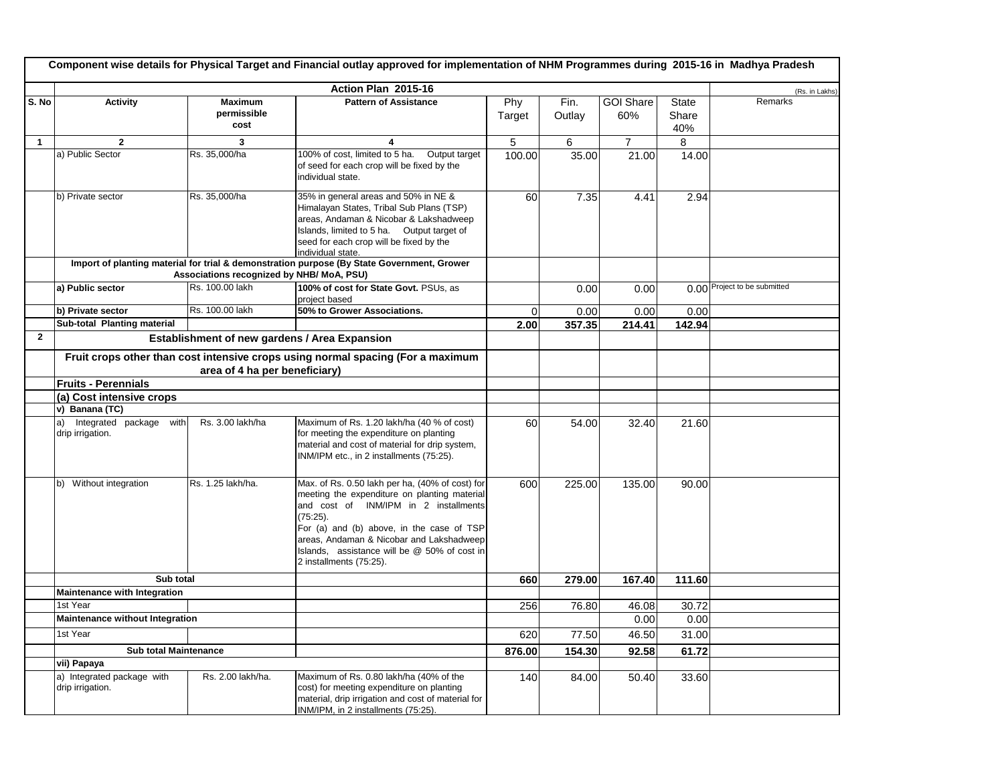|                | Component wise details for Physical Target and Financial outlay approved for implementation of NHM Programmes during 2015-16 in Madhya Pradesh |                                               |                                                                                                                                                                                                                                                                                                                             |               |                |                         |                              |                              |  |  |
|----------------|------------------------------------------------------------------------------------------------------------------------------------------------|-----------------------------------------------|-----------------------------------------------------------------------------------------------------------------------------------------------------------------------------------------------------------------------------------------------------------------------------------------------------------------------------|---------------|----------------|-------------------------|------------------------------|------------------------------|--|--|
|                |                                                                                                                                                |                                               | Action Plan 2015-16                                                                                                                                                                                                                                                                                                         |               |                |                         |                              | (Rs. in Lakhs)               |  |  |
| S. No          | <b>Activity</b>                                                                                                                                | <b>Maximum</b><br>permissible<br>cost         | <b>Pattern of Assistance</b>                                                                                                                                                                                                                                                                                                | Phy<br>Target | Fin.<br>Outlay | <b>GOI Share</b><br>60% | <b>State</b><br>Share<br>40% | Remarks                      |  |  |
| $\mathbf{1}$   | $\mathbf{2}$                                                                                                                                   | 3                                             | 4                                                                                                                                                                                                                                                                                                                           | 5             | 6              | $\overline{7}$          | 8                            |                              |  |  |
|                | a) Public Sector                                                                                                                               | Rs. 35,000/ha                                 | 100% of cost, limited to 5 ha.<br>Output target<br>of seed for each crop will be fixed by the<br>individual state.                                                                                                                                                                                                          | 100.00        | 35.00          | 21.00                   | 14.00                        |                              |  |  |
|                | b) Private sector                                                                                                                              | Rs. 35,000/ha                                 | 35% in general areas and 50% in NE &<br>Himalayan States, Tribal Sub Plans (TSP)<br>areas, Andaman & Nicobar & Lakshadweep<br>Islands, limited to 5 ha. Output target of<br>seed for each crop will be fixed by the<br>individual state.                                                                                    | 60            | 7.35           | 4.41                    | 2.94                         |                              |  |  |
|                |                                                                                                                                                | Associations recognized by NHB/ MoA, PSU)     | Import of planting material for trial & demonstration purpose (By State Government, Grower                                                                                                                                                                                                                                  |               |                |                         |                              |                              |  |  |
|                | a) Public sector                                                                                                                               | Rs. 100.00 lakh                               | 100% of cost for State Govt. PSUs, as<br>project based                                                                                                                                                                                                                                                                      |               | 0.00           | 0.00                    |                              | 0.00 Project to be submitted |  |  |
|                | b) Private sector                                                                                                                              | Rs. 100.00 lakh                               | 50% to Grower Associations.                                                                                                                                                                                                                                                                                                 | 0             | 0.00           | 0.00                    | 0.00                         |                              |  |  |
|                | Sub-total Planting material                                                                                                                    |                                               |                                                                                                                                                                                                                                                                                                                             | 2.00          | 357.35         | 214.41                  | 142.94                       |                              |  |  |
| $\overline{2}$ |                                                                                                                                                | Establishment of new gardens / Area Expansion |                                                                                                                                                                                                                                                                                                                             |               |                |                         |                              |                              |  |  |
|                | Fruit crops other than cost intensive crops using normal spacing (For a maximum<br>area of 4 ha per beneficiary)                               |                                               |                                                                                                                                                                                                                                                                                                                             |               |                |                         |                              |                              |  |  |
|                | <b>Fruits - Perennials</b>                                                                                                                     |                                               |                                                                                                                                                                                                                                                                                                                             |               |                |                         |                              |                              |  |  |
|                | (a) Cost intensive crops                                                                                                                       |                                               |                                                                                                                                                                                                                                                                                                                             |               |                |                         |                              |                              |  |  |
|                | v) Banana (TC)                                                                                                                                 |                                               |                                                                                                                                                                                                                                                                                                                             |               |                |                         |                              |                              |  |  |
|                | Integrated package with<br>a)<br>drip irrigation.                                                                                              | Rs. 3.00 lakh/ha                              | Maximum of Rs. 1.20 lakh/ha (40 % of cost)<br>for meeting the expenditure on planting<br>material and cost of material for drip system,<br>INM/IPM etc., in 2 installments (75:25).                                                                                                                                         | 60            | 54.00          | 32.40                   | 21.60                        |                              |  |  |
|                | b) Without integration                                                                                                                         | Rs. 1.25 lakh/ha.                             | Max. of Rs. 0.50 lakh per ha, (40% of cost) for<br>meeting the expenditure on planting material<br>and cost of INM/IPM in 2 installments<br>$(75:25)$ .<br>For (a) and (b) above, in the case of TSP<br>areas, Andaman & Nicobar and Lakshadweep<br>Islands, assistance will be @ 50% of cost in<br>2 installments (75:25). | 600           | 225.00         | 135.00                  | 90.00                        |                              |  |  |
|                | Sub total                                                                                                                                      |                                               |                                                                                                                                                                                                                                                                                                                             | 660           | 279.00         | 167.40                  | 111.60                       |                              |  |  |
|                | Maintenance with Integration                                                                                                                   |                                               |                                                                                                                                                                                                                                                                                                                             |               |                |                         |                              |                              |  |  |
|                | 1st Year                                                                                                                                       |                                               |                                                                                                                                                                                                                                                                                                                             | 256           | 76.80          | 46.08                   | 30.72                        |                              |  |  |
|                | Maintenance without Integration                                                                                                                |                                               |                                                                                                                                                                                                                                                                                                                             |               |                | 0.00                    | 0.00                         |                              |  |  |
|                | 1st Year                                                                                                                                       |                                               |                                                                                                                                                                                                                                                                                                                             | 620           | 77.50          | 46.50                   | 31.00                        |                              |  |  |
|                | <b>Sub total Maintenance</b>                                                                                                                   |                                               |                                                                                                                                                                                                                                                                                                                             | 876.00        | 154.30         | 92.58                   | 61.72                        |                              |  |  |
|                | vii) Papaya                                                                                                                                    |                                               |                                                                                                                                                                                                                                                                                                                             |               |                |                         |                              |                              |  |  |
|                | a) Integrated package with<br>drip irrigation.                                                                                                 | Rs. 2.00 lakh/ha.                             | Maximum of Rs. 0.80 lakh/ha (40% of the<br>cost) for meeting expenditure on planting<br>material, drip irrigation and cost of material for<br>INM/IPM, in 2 installments (75:25).                                                                                                                                           | 140           | 84.00          | 50.40                   | 33.60                        |                              |  |  |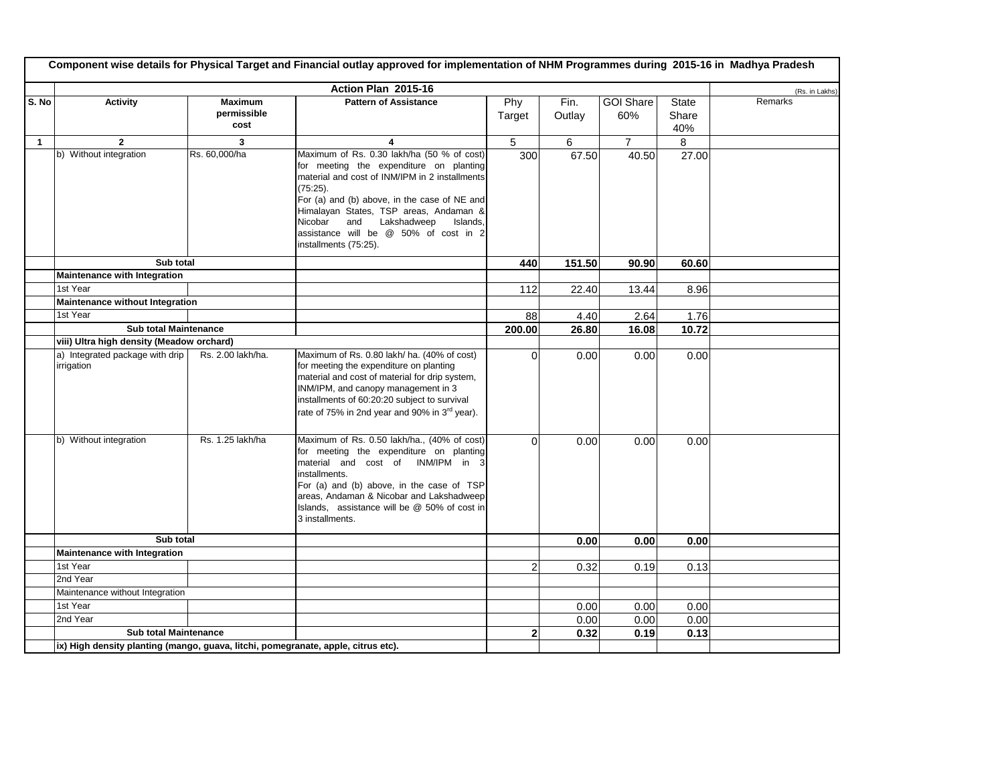|              | Component wise details for Physical Target and Financial outlay approved for implementation of NHM Programmes during 2015-16 in Madhya Pradesh |                                       |                                                                                                                                                                                                                                                                                                                                                              |                |                |                         |                              |                |  |  |
|--------------|------------------------------------------------------------------------------------------------------------------------------------------------|---------------------------------------|--------------------------------------------------------------------------------------------------------------------------------------------------------------------------------------------------------------------------------------------------------------------------------------------------------------------------------------------------------------|----------------|----------------|-------------------------|------------------------------|----------------|--|--|
|              |                                                                                                                                                |                                       | Action Plan 2015-16                                                                                                                                                                                                                                                                                                                                          |                |                |                         |                              | (Rs. in Lakhs) |  |  |
| S. No        | Activity                                                                                                                                       | <b>Maximum</b><br>permissible<br>cost | <b>Pattern of Assistance</b>                                                                                                                                                                                                                                                                                                                                 | Phy<br>Target  | Fin.<br>Outlay | <b>GOI Share</b><br>60% | <b>State</b><br>Share<br>40% | Remarks        |  |  |
| $\mathbf{1}$ | $\mathbf{2}$                                                                                                                                   | 3                                     | 4                                                                                                                                                                                                                                                                                                                                                            | 5              | 6              | $\overline{7}$          | 8                            |                |  |  |
|              | b) Without integration                                                                                                                         | Rs. 60,000/ha                         | Maximum of Rs. 0.30 lakh/ha (50 % of cost)<br>for meeting the expenditure on planting<br>material and cost of INM/IPM in 2 installments<br>$(75:25)$ .<br>For (a) and (b) above, in the case of NE and<br>Himalayan States, TSP areas, Andaman &<br>and Lakshadweep<br>Nicobar<br>Islands,<br>assistance will be @ 50% of cost in 2<br>installments (75:25). | 300            | 67.50          | 40.50                   | 27.00                        |                |  |  |
|              | Sub total                                                                                                                                      |                                       |                                                                                                                                                                                                                                                                                                                                                              | 440            | 151.50         | 90.90                   | 60.60                        |                |  |  |
|              | Maintenance with Integration                                                                                                                   |                                       |                                                                                                                                                                                                                                                                                                                                                              |                |                |                         |                              |                |  |  |
|              | 1st Year                                                                                                                                       |                                       |                                                                                                                                                                                                                                                                                                                                                              | 112            | 22.40          | 13.44                   | 8.96                         |                |  |  |
|              | Maintenance without Integration                                                                                                                |                                       |                                                                                                                                                                                                                                                                                                                                                              |                |                |                         |                              |                |  |  |
|              | 1st Year                                                                                                                                       |                                       |                                                                                                                                                                                                                                                                                                                                                              | 88             | 4.40           | 2.64                    | 1.76                         |                |  |  |
|              | <b>Sub total Maintenance</b>                                                                                                                   |                                       |                                                                                                                                                                                                                                                                                                                                                              | 200.00         | 26.80          | 16.08                   | 10.72                        |                |  |  |
|              | viii) Ultra high density (Meadow orchard)                                                                                                      |                                       |                                                                                                                                                                                                                                                                                                                                                              |                |                |                         |                              |                |  |  |
|              | a) Integrated package with drip<br>irrigation                                                                                                  | Rs. 2.00 lakh/ha.                     | Maximum of Rs. 0.80 lakh/ ha. (40% of cost)<br>for meeting the expenditure on planting<br>material and cost of material for drip system,<br>INM/IPM, and canopy management in 3<br>installments of 60:20:20 subject to survival<br>rate of 75% in 2nd year and 90% in 3 <sup>rd</sup> year).                                                                 | $\Omega$       | 0.00           | 0.00                    | 0.00                         |                |  |  |
|              | b) Without integration                                                                                                                         | Rs. 1.25 lakh/ha                      | Maximum of Rs. 0.50 lakh/ha., (40% of cost)<br>for meeting the expenditure on planting<br>material and cost of INM/IPM in 3<br>installments.<br>For (a) and (b) above, in the case of TSP<br>areas, Andaman & Nicobar and Lakshadweep<br>Islands, assistance will be @ 50% of cost in<br>3 installments.                                                     | $\Omega$       | 0.00           | 0.00                    | 0.00                         |                |  |  |
|              | Sub total                                                                                                                                      |                                       |                                                                                                                                                                                                                                                                                                                                                              |                | 0.00           | 0.00                    | 0.00                         |                |  |  |
|              | Maintenance with Integration                                                                                                                   |                                       |                                                                                                                                                                                                                                                                                                                                                              |                |                |                         |                              |                |  |  |
|              | 1st Year                                                                                                                                       |                                       |                                                                                                                                                                                                                                                                                                                                                              | $\overline{2}$ | 0.32           | 0.19                    | 0.13                         |                |  |  |
|              | 2nd Year                                                                                                                                       |                                       |                                                                                                                                                                                                                                                                                                                                                              |                |                |                         |                              |                |  |  |
|              | Maintenance without Integration                                                                                                                |                                       |                                                                                                                                                                                                                                                                                                                                                              |                |                |                         |                              |                |  |  |
|              | 1st Year                                                                                                                                       |                                       |                                                                                                                                                                                                                                                                                                                                                              |                | 0.00           | 0.00                    | 0.00                         |                |  |  |
|              | 2nd Year                                                                                                                                       |                                       |                                                                                                                                                                                                                                                                                                                                                              |                | 0.00           | 0.00                    | 0.00                         |                |  |  |
|              | <b>Sub total Maintenance</b>                                                                                                                   |                                       |                                                                                                                                                                                                                                                                                                                                                              | $\overline{2}$ | 0.32           | 0.19                    | 0.13                         |                |  |  |
|              | ix) High density planting (mango, guava, litchi, pomegranate, apple, citrus etc).                                                              |                                       |                                                                                                                                                                                                                                                                                                                                                              |                |                |                         |                              |                |  |  |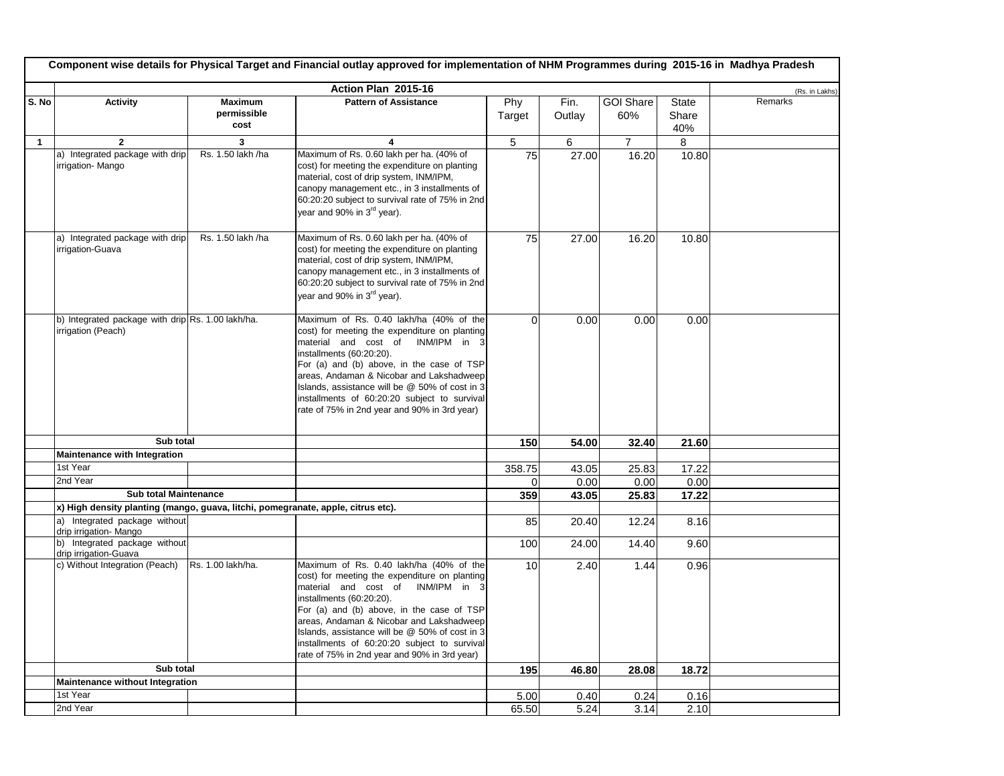|              | Component wise details for Physical Target and Financial outlay approved for implementation of NHM Programmes during 2015-16 in Madhya Pradesh |                                       |                                                                                                                                                                                                                                                                                                                                                                                                      |               |                |                         |                              |                |  |  |
|--------------|------------------------------------------------------------------------------------------------------------------------------------------------|---------------------------------------|------------------------------------------------------------------------------------------------------------------------------------------------------------------------------------------------------------------------------------------------------------------------------------------------------------------------------------------------------------------------------------------------------|---------------|----------------|-------------------------|------------------------------|----------------|--|--|
|              |                                                                                                                                                |                                       | Action Plan 2015-16                                                                                                                                                                                                                                                                                                                                                                                  |               |                |                         |                              | (Rs. in Lakhs) |  |  |
| S. No        | <b>Activity</b>                                                                                                                                | <b>Maximum</b><br>permissible<br>cost | <b>Pattern of Assistance</b>                                                                                                                                                                                                                                                                                                                                                                         | Phy<br>Target | Fin.<br>Outlay | <b>GOI Share</b><br>60% | <b>State</b><br>Share<br>40% | Remarks        |  |  |
| $\mathbf{1}$ | $\mathbf{2}$                                                                                                                                   | 3                                     |                                                                                                                                                                                                                                                                                                                                                                                                      | 5             | 6              | $\overline{7}$          | 8                            |                |  |  |
|              | a) Integrated package with drip<br>irrigation-Mango                                                                                            | Rs. 1.50 lakh /ha                     | Maximum of Rs. 0.60 lakh per ha. (40% of<br>cost) for meeting the expenditure on planting<br>material, cost of drip system, INM/IPM,<br>canopy management etc., in 3 installments of<br>60:20:20 subject to survival rate of 75% in 2nd<br>year and 90% in 3 <sup>rd</sup> year).                                                                                                                    | 75            | 27.00          | 16.20                   | 10.80                        |                |  |  |
|              | a) Integrated package with drip<br>irrigation-Guava                                                                                            | Rs. 1.50 lakh /ha                     | Maximum of Rs. 0.60 lakh per ha. (40% of<br>cost) for meeting the expenditure on planting<br>material, cost of drip system, INM/IPM,<br>canopy management etc., in 3 installments of<br>60:20:20 subject to survival rate of 75% in 2nd<br>year and 90% in 3 <sup>rd</sup> year).                                                                                                                    | 75            | 27.00          | 16.20                   | 10.80                        |                |  |  |
|              | b) Integrated package with drip Rs. 1.00 lakh/ha.<br>irrigation (Peach)                                                                        |                                       | Maximum of Rs. 0.40 lakh/ha (40% of the<br>cost) for meeting the expenditure on planting<br>material and cost of INM/IPM in 3<br>installments (60:20:20).<br>For (a) and (b) above, in the case of TSP<br>areas, Andaman & Nicobar and Lakshadweep<br>Islands, assistance will be @ 50% of cost in 3<br>installments of 60:20:20 subject to survival<br>rate of 75% in 2nd year and 90% in 3rd year) | $\Omega$      | 0.00           | 0.00                    | 0.00                         |                |  |  |
|              | Sub total                                                                                                                                      |                                       |                                                                                                                                                                                                                                                                                                                                                                                                      | 150           | 54.00          | 32.40                   | 21.60                        |                |  |  |
|              | Maintenance with Integration                                                                                                                   |                                       |                                                                                                                                                                                                                                                                                                                                                                                                      |               |                |                         |                              |                |  |  |
|              | 1st Year                                                                                                                                       |                                       |                                                                                                                                                                                                                                                                                                                                                                                                      | 358.75        | 43.05          | 25.83                   | 17.22                        |                |  |  |
|              | 2nd Year                                                                                                                                       |                                       |                                                                                                                                                                                                                                                                                                                                                                                                      | 0             | 0.00           | 0.00                    | 0.00                         |                |  |  |
|              | Sub total Maintenance                                                                                                                          |                                       |                                                                                                                                                                                                                                                                                                                                                                                                      | 359           | 43.05          | 25.83                   | 17.22                        |                |  |  |
|              | x) High density planting (mango, guava, litchi, pomegranate, apple, citrus etc).                                                               |                                       |                                                                                                                                                                                                                                                                                                                                                                                                      |               |                |                         |                              |                |  |  |
|              | a) Integrated package without<br>drip irrigation- Mango                                                                                        |                                       |                                                                                                                                                                                                                                                                                                                                                                                                      | 85            | 20.40          | 12.24                   | 8.16                         |                |  |  |
|              | b) Integrated package without<br>drip irrigation-Guava                                                                                         |                                       |                                                                                                                                                                                                                                                                                                                                                                                                      | 100           | 24.00          | 14.40                   | 9.60                         |                |  |  |
|              | c) Without Integration (Peach)                                                                                                                 | Rs. 1.00 lakh/ha.                     | Maximum of Rs. 0.40 lakh/ha (40% of the<br>cost) for meeting the expenditure on planting<br>material and cost of INM/IPM in<br>installments (60:20:20).<br>For (a) and (b) above, in the case of TSP<br>areas, Andaman & Nicobar and Lakshadweep<br>Islands, assistance will be @ 50% of cost in 3<br>installments of 60:20:20 subject to survival<br>rate of 75% in 2nd year and 90% in 3rd year)   | 10            | 2.40           | 1.44                    | 0.96                         |                |  |  |
|              | Sub total                                                                                                                                      |                                       |                                                                                                                                                                                                                                                                                                                                                                                                      | 195           | 46.80          | 28.08                   | 18.72                        |                |  |  |
|              | <b>Maintenance without Integration</b>                                                                                                         |                                       |                                                                                                                                                                                                                                                                                                                                                                                                      |               |                |                         |                              |                |  |  |
|              | 1st Year                                                                                                                                       |                                       |                                                                                                                                                                                                                                                                                                                                                                                                      | 5.00          | 0.40           | 0.24                    | 0.16                         |                |  |  |
|              | 2nd Year                                                                                                                                       |                                       |                                                                                                                                                                                                                                                                                                                                                                                                      | 65.50         | 5.24           | 3.14                    | 2.10                         |                |  |  |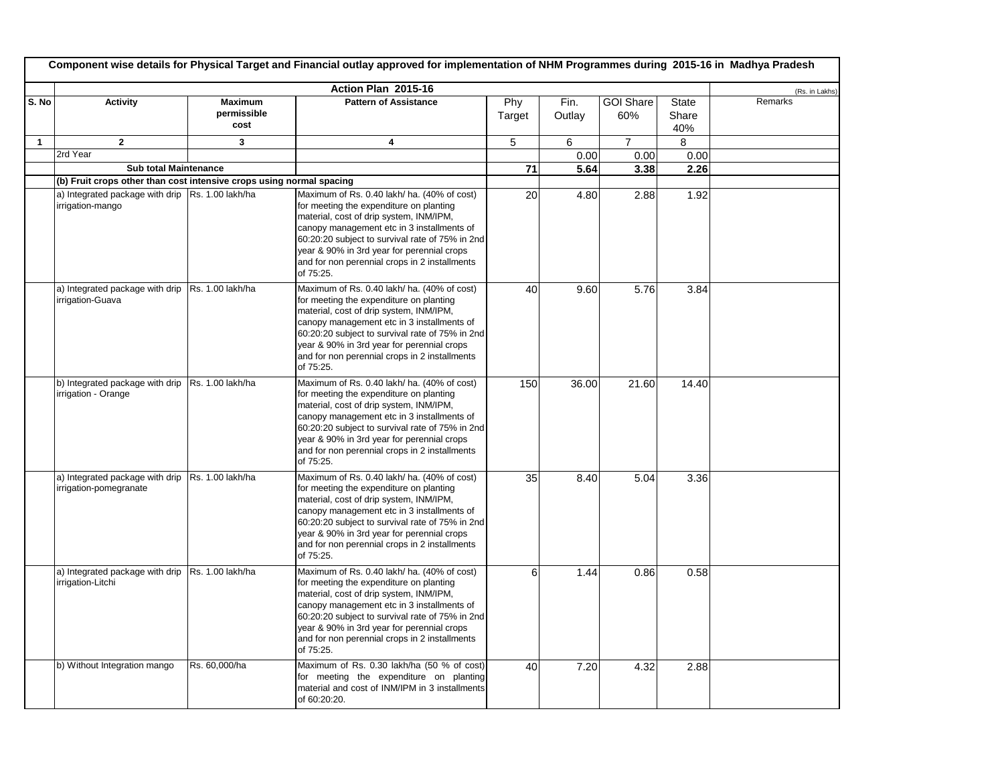|              | Component wise details for Physical Target and Financial outlay approved for implementation of NHM Programmes during 2015-16 in Madhya Pradesh |                                       |                                                                                                                                                                                                                                                                                                                                                |               |                |                         |                              |                |  |  |
|--------------|------------------------------------------------------------------------------------------------------------------------------------------------|---------------------------------------|------------------------------------------------------------------------------------------------------------------------------------------------------------------------------------------------------------------------------------------------------------------------------------------------------------------------------------------------|---------------|----------------|-------------------------|------------------------------|----------------|--|--|
|              |                                                                                                                                                |                                       | Action Plan 2015-16                                                                                                                                                                                                                                                                                                                            |               |                |                         |                              | (Rs. in Lakhs) |  |  |
| S. No        | <b>Activity</b>                                                                                                                                | <b>Maximum</b><br>permissible<br>cost | <b>Pattern of Assistance</b>                                                                                                                                                                                                                                                                                                                   | Phy<br>Target | Fin.<br>Outlay | <b>GOI Share</b><br>60% | <b>State</b><br>Share<br>40% | Remarks        |  |  |
| $\mathbf{1}$ | $\mathbf{2}$                                                                                                                                   | 3                                     | 4                                                                                                                                                                                                                                                                                                                                              | 5             | 6              | $\overline{7}$          | 8                            |                |  |  |
|              | 2rd Year                                                                                                                                       |                                       |                                                                                                                                                                                                                                                                                                                                                |               | 0.00           | 0.00                    | 0.00                         |                |  |  |
|              | <b>Sub total Maintenance</b>                                                                                                                   |                                       |                                                                                                                                                                                                                                                                                                                                                | 71            | 5.64           | 3.38                    | 2.26                         |                |  |  |
|              | (b) Fruit crops other than cost intensive crops using normal spacing                                                                           |                                       |                                                                                                                                                                                                                                                                                                                                                |               |                |                         |                              |                |  |  |
|              | a) Integrated package with drip   Rs. 1.00 lakh/ha<br>irrigation-mango                                                                         |                                       | Maximum of Rs. 0.40 lakh/ ha. (40% of cost)<br>for meeting the expenditure on planting<br>material, cost of drip system, INM/IPM,<br>canopy management etc in 3 installments of<br>60:20:20 subject to survival rate of 75% in 2nd<br>year & 90% in 3rd year for perennial crops<br>and for non perennial crops in 2 installments<br>of 75:25. | 20            | 4.80           | 2.88                    | 1.92                         |                |  |  |
|              | a) Integrated package with drip   Rs. 1.00 lakh/ha<br>irrigation-Guava                                                                         |                                       | Maximum of Rs. 0.40 lakh/ ha. (40% of cost)<br>for meeting the expenditure on planting<br>material, cost of drip system, INM/IPM,<br>canopy management etc in 3 installments of<br>60:20:20 subject to survival rate of 75% in 2nd<br>year & 90% in 3rd year for perennial crops<br>and for non perennial crops in 2 installments<br>of 75:25. | 40            | 9.60           | 5.76                    | 3.84                         |                |  |  |
|              | b) Integrated package with drip Rs. 1.00 lakh/ha<br>irrigation - Orange                                                                        |                                       | Maximum of Rs. 0.40 lakh/ ha. (40% of cost)<br>for meeting the expenditure on planting<br>material, cost of drip system, INM/IPM,<br>canopy management etc in 3 installments of<br>60:20:20 subject to survival rate of 75% in 2nd<br>year & 90% in 3rd year for perennial crops<br>and for non perennial crops in 2 installments<br>of 75:25. | 150           | 36.00          | 21.60                   | 14.40                        |                |  |  |
|              | a) Integrated package with drip   Rs. 1.00 lakh/ha<br>irrigation-pomegranate                                                                   |                                       | Maximum of Rs. 0.40 lakh/ ha. (40% of cost)<br>for meeting the expenditure on planting<br>material, cost of drip system, INM/IPM,<br>canopy management etc in 3 installments of<br>60:20:20 subject to survival rate of 75% in 2nd<br>year & 90% in 3rd year for perennial crops<br>and for non perennial crops in 2 installments<br>of 75:25. | 35            | 8.40           | 5.04                    | 3.36                         |                |  |  |
|              | a) Integrated package with drip Rs. 1.00 lakh/ha<br>irrigation-Litchi                                                                          |                                       | Maximum of Rs. 0.40 lakh/ ha. (40% of cost)<br>for meeting the expenditure on planting<br>material, cost of drip system, INM/IPM,<br>canopy management etc in 3 installments of<br>60:20:20 subject to survival rate of 75% in 2nd<br>year & 90% in 3rd year for perennial crops<br>and for non perennial crops in 2 installments<br>of 75:25. | 6             | 1.44           | 0.86                    | 0.58                         |                |  |  |
|              | b) Without Integration mango                                                                                                                   | Rs. 60,000/ha                         | Maximum of Rs. 0.30 lakh/ha (50 % of cost)<br>for meeting the expenditure on planting<br>material and cost of INM/IPM in 3 installments<br>of 60:20:20.                                                                                                                                                                                        | 40            | 7.20           | 4.32                    | 2.88                         |                |  |  |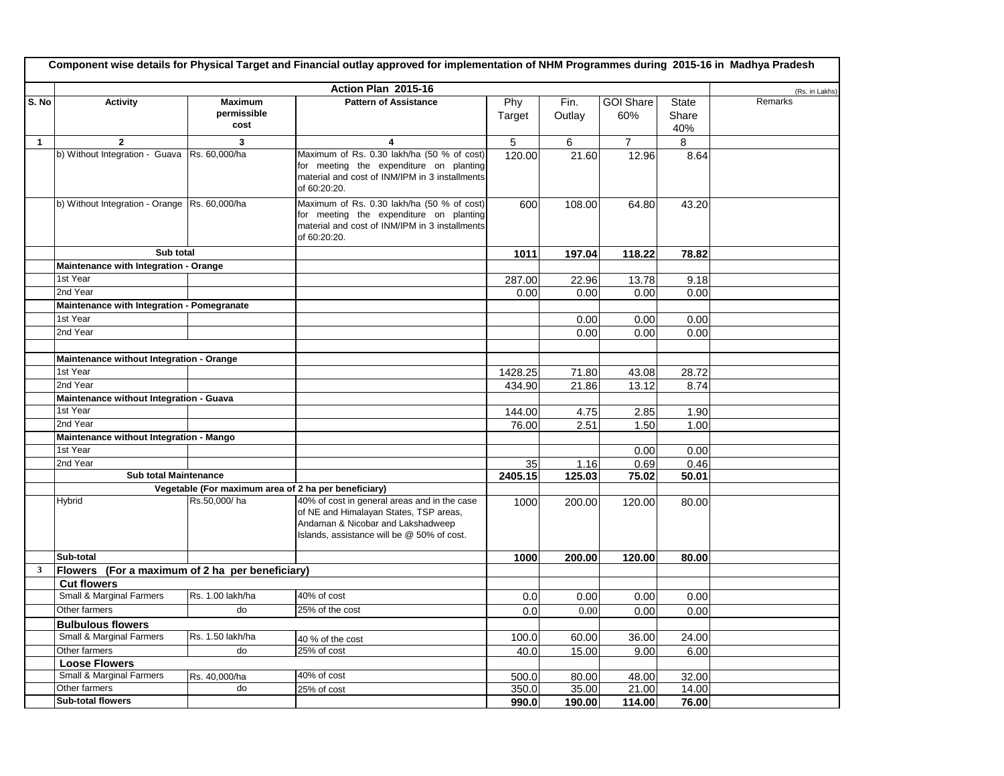|              | Component wise details for Physical Target and Financial outlay approved for implementation of NHM Programmes during 2015-16 in Madhya Pradesh |                                                      |                                                                                                                                                                           |               |                |                         |                              |                |  |  |
|--------------|------------------------------------------------------------------------------------------------------------------------------------------------|------------------------------------------------------|---------------------------------------------------------------------------------------------------------------------------------------------------------------------------|---------------|----------------|-------------------------|------------------------------|----------------|--|--|
|              |                                                                                                                                                |                                                      | Action Plan 2015-16                                                                                                                                                       |               |                |                         |                              | (Rs. in Lakhs) |  |  |
| S. No        | <b>Activity</b>                                                                                                                                | <b>Maximum</b><br>permissible<br>cost                | <b>Pattern of Assistance</b>                                                                                                                                              | Phy<br>Target | Fin.<br>Outlay | <b>GOI Share</b><br>60% | <b>State</b><br>Share<br>40% | Remarks        |  |  |
| $\mathbf{1}$ | $\overline{2}$                                                                                                                                 | 3                                                    | 4                                                                                                                                                                         | 5             | 6              | $\overline{7}$          | 8                            |                |  |  |
|              | b) Without Integration - Guava Rs. 60,000/ha                                                                                                   |                                                      | Maximum of Rs. 0.30 lakh/ha (50 % of cost)<br>for meeting the expenditure on planting<br>material and cost of INM/IPM in 3 installments<br>of 60:20:20.                   | 120.00        | 21.60          | 12.96                   | 8.64                         |                |  |  |
|              | b) Without Integration - Orange Rs. 60,000/ha                                                                                                  |                                                      | Maximum of Rs. 0.30 lakh/ha (50 % of cost)<br>for meeting the expenditure on planting<br>material and cost of INM/IPM in 3 installments<br>of 60:20:20.                   | 600           | 108.00         | 64.80                   | 43.20                        |                |  |  |
|              | Sub total                                                                                                                                      |                                                      |                                                                                                                                                                           | 1011          | 197.04         | 118.22                  | 78.82                        |                |  |  |
|              | Maintenance with Integration - Orange                                                                                                          |                                                      |                                                                                                                                                                           |               |                |                         |                              |                |  |  |
|              | 1st Year                                                                                                                                       |                                                      |                                                                                                                                                                           | 287.00        | 22.96          | 13.78                   | 9.18                         |                |  |  |
|              | 2nd Year                                                                                                                                       |                                                      |                                                                                                                                                                           | 0.00          | 0.00           | 0.00                    | 0.00                         |                |  |  |
|              | Maintenance with Integration - Pomegranate                                                                                                     |                                                      |                                                                                                                                                                           |               |                |                         |                              |                |  |  |
|              | 1st Year                                                                                                                                       |                                                      |                                                                                                                                                                           |               | 0.00           | 0.00                    | 0.00                         |                |  |  |
|              | 2nd Year                                                                                                                                       |                                                      |                                                                                                                                                                           |               | 0.00           | 0.00                    | 0.00                         |                |  |  |
|              | Maintenance without Integration - Orange                                                                                                       |                                                      |                                                                                                                                                                           |               |                |                         |                              |                |  |  |
|              | 1st Year                                                                                                                                       |                                                      |                                                                                                                                                                           | 1428.25       | 71.80          | 43.08                   | 28.72                        |                |  |  |
|              | 2nd Year                                                                                                                                       |                                                      |                                                                                                                                                                           | 434.90        | 21.86          | 13.12                   | 8.74                         |                |  |  |
|              | Maintenance without Integration - Guava                                                                                                        |                                                      |                                                                                                                                                                           |               |                |                         |                              |                |  |  |
|              | 1st Year                                                                                                                                       |                                                      |                                                                                                                                                                           | 144.00        | 4.75           | 2.85                    | 1.90                         |                |  |  |
|              | 2nd Year                                                                                                                                       |                                                      |                                                                                                                                                                           | 76.00         | 2.51           | 1.50                    | 1.00                         |                |  |  |
|              | Maintenance without Integration - Mango                                                                                                        |                                                      |                                                                                                                                                                           |               |                |                         |                              |                |  |  |
|              | 1st Year                                                                                                                                       |                                                      |                                                                                                                                                                           |               |                | 0.00                    | 0.00                         |                |  |  |
|              | 2nd Year                                                                                                                                       |                                                      |                                                                                                                                                                           | 35            | 1.16           | 0.69                    | 0.46                         |                |  |  |
|              | <b>Sub total Maintenance</b>                                                                                                                   |                                                      |                                                                                                                                                                           | 2405.15       | 125.03         | 75.02                   | 50.01                        |                |  |  |
|              |                                                                                                                                                | Vegetable (For maximum area of 2 ha per beneficiary) |                                                                                                                                                                           |               |                |                         |                              |                |  |  |
|              | <b>Hybrid</b>                                                                                                                                  | Rs.50,000/ha                                         | 40% of cost in general areas and in the case<br>of NE and Himalayan States, TSP areas,<br>Andaman & Nicobar and Lakshadweep<br>Islands, assistance will be @ 50% of cost. | 1000          | 200.00         | 120.00                  | 80.00                        |                |  |  |
|              | Sub-total                                                                                                                                      |                                                      |                                                                                                                                                                           | 1000          | 200.00         | 120.00                  | 80.00                        |                |  |  |
| 3            | Flowers (For a maximum of 2 ha per beneficiary)                                                                                                |                                                      |                                                                                                                                                                           |               |                |                         |                              |                |  |  |
|              | <b>Cut flowers</b>                                                                                                                             |                                                      |                                                                                                                                                                           |               |                |                         |                              |                |  |  |
|              | Small & Marginal Farmers                                                                                                                       | Rs. 1.00 lakh/ha                                     | $40%$ of cost                                                                                                                                                             | 0.0           | 0.00           | 0.00                    | 0.00                         |                |  |  |
|              | Other farmers                                                                                                                                  | do                                                   | 25% of the cost                                                                                                                                                           | 0.0           | 0.00           | 0.00                    | 0.00                         |                |  |  |
|              | <b>Bulbulous flowers</b><br>Small & Marginal Farmers                                                                                           | Rs. 1.50 lakh/ha                                     |                                                                                                                                                                           |               |                |                         |                              |                |  |  |
|              |                                                                                                                                                | do                                                   | 40 % of the cost                                                                                                                                                          | 100.0         | 60.00          | 36.00                   | 24.00                        |                |  |  |
|              | Other farmers<br><b>Loose Flowers</b>                                                                                                          |                                                      | 25% of cost                                                                                                                                                               | 40.0          | 15.00          | 9.00                    | 6.00                         |                |  |  |
|              | Small & Marginal Farmers                                                                                                                       | Rs. 40,000/ha                                        | 40% of cost                                                                                                                                                               | 500.0         | 80.00          | 48.00                   | 32.00                        |                |  |  |
|              | Other farmers                                                                                                                                  | do                                                   | 25% of cost                                                                                                                                                               | 350.0         | 35.00          | 21.00                   | 14.00                        |                |  |  |
|              | <b>Sub-total flowers</b>                                                                                                                       |                                                      |                                                                                                                                                                           | 990.0         | 190.00         | 114.00                  | 76.00                        |                |  |  |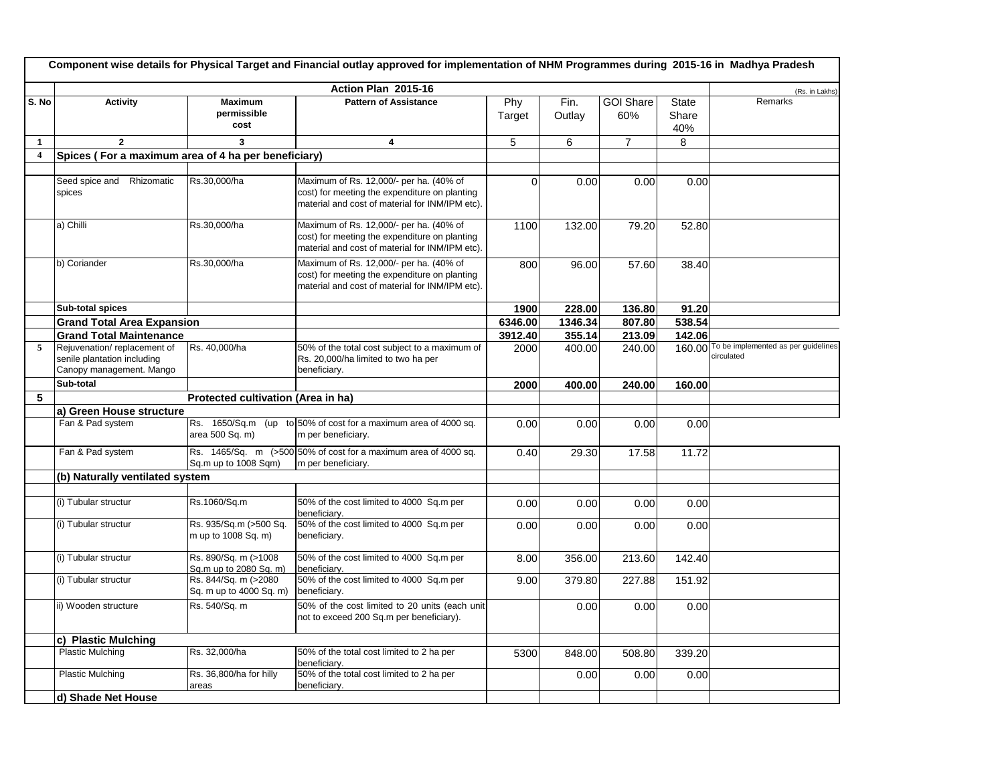|                         | Component wise details for Physical Target and Financial outlay approved for implementation of NHM Programmes during 2015-16 in Madhya Pradesh |                                                 |                                                                                                                                             |               |                |                         |                              |                                                          |  |  |
|-------------------------|------------------------------------------------------------------------------------------------------------------------------------------------|-------------------------------------------------|---------------------------------------------------------------------------------------------------------------------------------------------|---------------|----------------|-------------------------|------------------------------|----------------------------------------------------------|--|--|
|                         |                                                                                                                                                |                                                 | Action Plan 2015-16                                                                                                                         |               |                |                         |                              | (Rs. in Lakhs)                                           |  |  |
| S. No                   | <b>Activity</b>                                                                                                                                | <b>Maximum</b><br>permissible<br>cost           | <b>Pattern of Assistance</b>                                                                                                                | Phy<br>Target | Fin.<br>Outlay | <b>GOI Share</b><br>60% | <b>State</b><br>Share<br>40% | Remarks                                                  |  |  |
| $\mathbf{1}$            | $\overline{2}$                                                                                                                                 | 3                                               | 4                                                                                                                                           | 5             | 6              | $\overline{7}$          | 8                            |                                                          |  |  |
| $\overline{\mathbf{4}}$ | Spices (For a maximum area of 4 ha per beneficiary)                                                                                            |                                                 |                                                                                                                                             |               |                |                         |                              |                                                          |  |  |
|                         |                                                                                                                                                |                                                 |                                                                                                                                             |               |                |                         |                              |                                                          |  |  |
|                         | Seed spice and Rhizomatic<br>spices                                                                                                            | Rs.30,000/ha                                    | Maximum of Rs. 12,000/- per ha. (40% of<br>cost) for meeting the expenditure on planting<br>material and cost of material for INM/IPM etc). | $\Omega$      | 0.00           | 0.00                    | 0.00                         |                                                          |  |  |
|                         | a) Chilli                                                                                                                                      | Rs.30,000/ha                                    | Maximum of Rs. 12,000/- per ha. (40% of<br>cost) for meeting the expenditure on planting<br>material and cost of material for INM/IPM etc). | 1100          | 132.00         | 79.20                   | 52.80                        |                                                          |  |  |
|                         | b) Coriander                                                                                                                                   | Rs.30,000/ha                                    | Maximum of Rs. 12,000/- per ha. (40% of<br>cost) for meeting the expenditure on planting<br>material and cost of material for INM/IPM etc). | 800           | 96.00          | 57.60                   | 38.40                        |                                                          |  |  |
|                         | Sub-total spices                                                                                                                               |                                                 |                                                                                                                                             | 1900          | 228.00         | 136.80                  | 91.20                        |                                                          |  |  |
|                         | <b>Grand Total Area Expansion</b>                                                                                                              |                                                 |                                                                                                                                             | 6346.00       | 1346.34        | 807.80                  | 538.54                       |                                                          |  |  |
|                         | <b>Grand Total Maintenance</b>                                                                                                                 |                                                 |                                                                                                                                             | 3912.40       | 355.14         | 213.09                  | 142.06                       |                                                          |  |  |
| 5                       | Rejuvenation/replacement of<br>senile plantation including<br>Canopy management. Mango                                                         | Rs. 40,000/ha                                   | 50% of the total cost subject to a maximum of<br>Rs. 20,000/ha limited to two ha per<br>beneficiary.                                        | 2000          | 400.00         | 240.00                  |                              | 160.00 To be implemented as per guidelines<br>circulated |  |  |
|                         | Sub-total                                                                                                                                      |                                                 |                                                                                                                                             | 2000          | 400.00         | 240.00                  | 160.00                       |                                                          |  |  |
| 5                       |                                                                                                                                                | Protected cultivation (Area in ha)              |                                                                                                                                             |               |                |                         |                              |                                                          |  |  |
|                         | a) Green House structure                                                                                                                       |                                                 |                                                                                                                                             |               |                |                         |                              |                                                          |  |  |
|                         | Fan & Pad system                                                                                                                               | area 500 Sq. m)                                 | Rs. 1650/Sq.m (up to 50% of cost for a maximum area of 4000 sq.<br>m per beneficiary.                                                       | 0.00          | 0.00           | 0.00                    | 0.00                         |                                                          |  |  |
|                         | Fan & Pad system                                                                                                                               | Sq.m up to 1008 Sqm)                            | Rs. 1465/Sq. m (>500 50% of cost for a maximum area of 4000 sq.<br>m per beneficiary.                                                       | 0.40          | 29.30          | 17.58                   | 11.72                        |                                                          |  |  |
|                         | (b) Naturally ventilated system                                                                                                                |                                                 |                                                                                                                                             |               |                |                         |                              |                                                          |  |  |
|                         |                                                                                                                                                |                                                 |                                                                                                                                             |               |                |                         |                              |                                                          |  |  |
|                         | (i) Tubular structur                                                                                                                           | Rs.1060/Sq.m                                    | 50% of the cost limited to 4000 Sq.m per<br>beneficiary.                                                                                    | 0.00          | 0.00           | 0.00                    | 0.00                         |                                                          |  |  |
|                         | (i) Tubular structur                                                                                                                           | Rs. 935/Sq.m (>500 Sq.<br>m up to 1008 Sq. m)   | 50% of the cost limited to 4000 Sq.m per<br>beneficiary.                                                                                    | 0.00          | 0.00           | 0.00                    | 0.00                         |                                                          |  |  |
|                         | (i) Tubular structur                                                                                                                           | Rs. 890/Sq. m (>1008<br>Sq.m up to 2080 Sq. m)  | 50% of the cost limited to 4000 Sq.m per<br>beneficiary.                                                                                    | 8.00          | 356.00         | 213.60                  | 142.40                       |                                                          |  |  |
|                         | (i) Tubular structur                                                                                                                           | Rs. 844/Sq. m (>2080<br>Sq. m up to 4000 Sq. m) | 50% of the cost limited to 4000 Sq.m per<br>beneficiary.                                                                                    | 9.00          | 379.80         | 227.88                  | 151.92                       |                                                          |  |  |
|                         | ii) Wooden structure                                                                                                                           | Rs. 540/Sq. m                                   | 50% of the cost limited to 20 units (each unit<br>not to exceed 200 Sq.m per beneficiary).                                                  |               | 0.00           | 0.00                    | 0.00                         |                                                          |  |  |
|                         | c) Plastic Mulching                                                                                                                            |                                                 |                                                                                                                                             |               |                |                         |                              |                                                          |  |  |
|                         | <b>Plastic Mulching</b>                                                                                                                        | Rs. 32,000/ha                                   | 50% of the total cost limited to 2 ha per<br>beneficiary.                                                                                   | 5300          | 848.00         | 508.80                  | 339.20                       |                                                          |  |  |
|                         | <b>Plastic Mulching</b>                                                                                                                        | Rs. 36,800/ha for hilly<br>areas                | 50% of the total cost limited to 2 ha per<br>beneficiarv.                                                                                   |               | 0.00           | 0.00                    | 0.00                         |                                                          |  |  |
|                         | d) Shade Net House                                                                                                                             |                                                 |                                                                                                                                             |               |                |                         |                              |                                                          |  |  |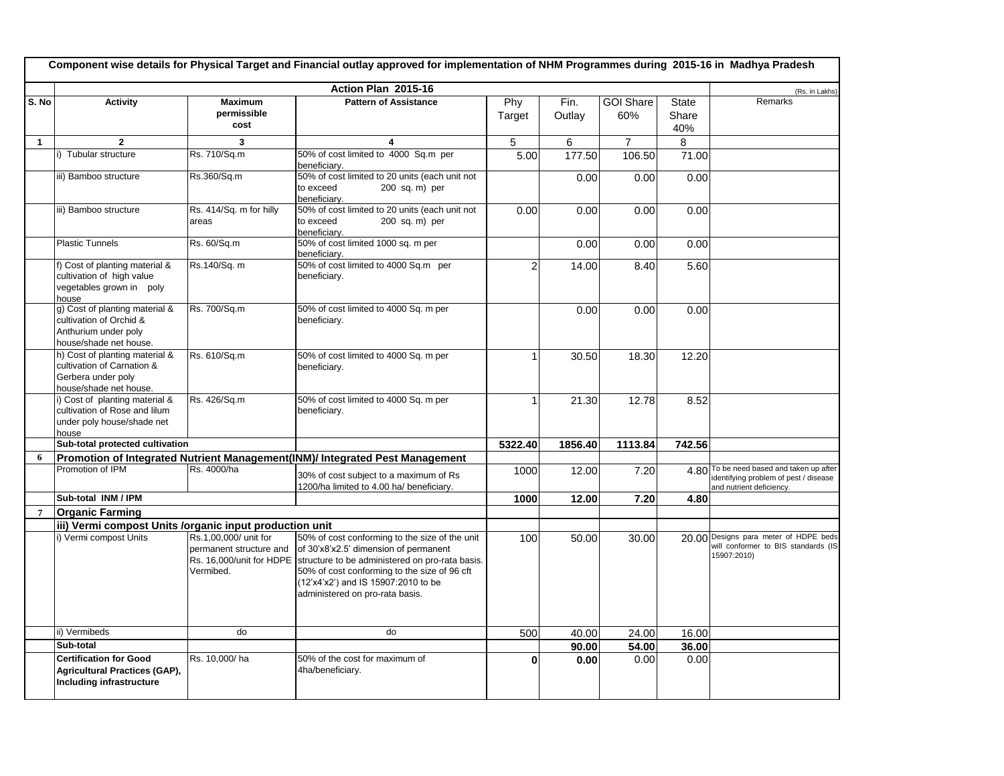|                |                                                                                                              |                                                                                           | Action Plan 2015-16                                                                                                                                                                                                                                                  |                |                |                         |                              | (Rs. in Lakhs)                                                                                                |
|----------------|--------------------------------------------------------------------------------------------------------------|-------------------------------------------------------------------------------------------|----------------------------------------------------------------------------------------------------------------------------------------------------------------------------------------------------------------------------------------------------------------------|----------------|----------------|-------------------------|------------------------------|---------------------------------------------------------------------------------------------------------------|
| S. No          | <b>Activity</b>                                                                                              | <b>Maximum</b><br>permissible<br>cost                                                     | <b>Pattern of Assistance</b>                                                                                                                                                                                                                                         | Phy<br>Target  | Fin.<br>Outlay | <b>GOI Share</b><br>60% | <b>State</b><br>Share<br>40% | Remarks                                                                                                       |
| $\mathbf{1}$   | $\mathbf{2}$                                                                                                 | 3                                                                                         | 4                                                                                                                                                                                                                                                                    | 5              | 6              | $\overline{7}$          | 8                            |                                                                                                               |
|                | i) Tubular structure                                                                                         | Rs. 710/Sq.m                                                                              | 50% of cost limited to 4000 Sq.m per<br>beneficiarv.                                                                                                                                                                                                                 | 5.00           | 177.50         | 106.50                  | 71.00                        |                                                                                                               |
|                | iii) Bamboo structure                                                                                        | Rs.360/Sq.m                                                                               | 50% of cost limited to 20 units (each unit not<br>to exceed<br>200 sq. m) per<br>beneficiary.                                                                                                                                                                        |                | 0.00           | 0.00                    | 0.00                         |                                                                                                               |
|                | iii) Bamboo structure                                                                                        | Rs. 414/Sq. m for hilly<br>areas                                                          | 50% of cost limited to 20 units (each unit not<br>to exceed<br>200 sq. m) per<br>beneficiary.                                                                                                                                                                        | 0.00           | 0.00           | 0.00                    | 0.00                         |                                                                                                               |
|                | <b>Plastic Tunnels</b>                                                                                       | Rs. 60/Sq.m                                                                               | 50% of cost limited 1000 sq. m per<br>beneficiary.                                                                                                                                                                                                                   |                | 0.00           | 0.00                    | 0.00                         |                                                                                                               |
|                | f) Cost of planting material &<br>cultivation of high value<br>vegetables grown in poly<br>house             | Rs.140/Sq. m                                                                              | 50% of cost limited to 4000 Sq.m per<br>beneficiary.                                                                                                                                                                                                                 | $\overline{2}$ | 14.00          | 8.40                    | 5.60                         |                                                                                                               |
|                | g) Cost of planting material &<br>cultivation of Orchid &<br>Anthurium under poly<br>house/shade net house.  | Rs. 700/Sq.m                                                                              | 50% of cost limited to 4000 Sq. m per<br>beneficiary.                                                                                                                                                                                                                |                | 0.00           | 0.00                    | 0.00                         |                                                                                                               |
|                | h) Cost of planting material &<br>cultivation of Carnation &<br>Gerbera under poly<br>house/shade net house. | Rs. 610/Sq.m                                                                              | 50% of cost limited to 4000 Sq. m per<br>beneficiary.                                                                                                                                                                                                                | 1              | 30.50          | 18.30                   | 12.20                        |                                                                                                               |
|                | i) Cost of planting material &<br>cultivation of Rose and lilum<br>under poly house/shade net<br>house       | Rs. 426/Sq.m                                                                              | 50% of cost limited to 4000 Sq. m per<br>beneficiary.                                                                                                                                                                                                                | 1              | 21.30          | 12.78                   | 8.52                         |                                                                                                               |
|                | Sub-total protected cultivation                                                                              |                                                                                           |                                                                                                                                                                                                                                                                      | 5322.40        | 1856.40        | 1113.84                 | 742.56                       |                                                                                                               |
| 6              |                                                                                                              |                                                                                           | Promotion of Integrated Nutrient Management(INM)/ Integrated Pest Management                                                                                                                                                                                         |                |                |                         |                              |                                                                                                               |
|                | Promotion of IPM                                                                                             | Rs. 4000/ha                                                                               | 30% of cost subject to a maximum of Rs<br>1200/ha limited to 4.00 ha/ beneficiary.                                                                                                                                                                                   | 1000           | 12.00          | 7.20                    |                              | 4.80 To be need based and taken up after<br>identifying problem of pest / disease<br>and nutrient deficiency. |
|                | Sub-total INM / IPM                                                                                          |                                                                                           |                                                                                                                                                                                                                                                                      | 1000           | 12.00          | 7.20                    | 4.80                         |                                                                                                               |
| $\overline{7}$ | <b>Organic Farming</b>                                                                                       |                                                                                           |                                                                                                                                                                                                                                                                      |                |                |                         |                              |                                                                                                               |
|                | iii) Vermi compost Units /organic input production unit                                                      |                                                                                           |                                                                                                                                                                                                                                                                      |                |                |                         |                              |                                                                                                               |
|                | i) Vermi compost Units                                                                                       | Rs.1,00,000/ unit for<br>permanent structure and<br>Rs. 16,000/unit for HDPE<br>Vermibed. | 50% of cost conforming to the size of the unit<br>of 30'x8'x2.5' dimension of permanent<br>structure to be administered on pro-rata basis.<br>50% of cost conforming to the size of 96 cft<br>(12'x4'x2') and IS 15907:2010 to be<br>administered on pro-rata basis. | 100            | 50.00          | 30.00                   |                              | 20.00 Designs para meter of HDPE beds<br>will conformer to BIS standards (IS<br>15907:2010)                   |
|                | ii) Vermibeds                                                                                                | do                                                                                        | do                                                                                                                                                                                                                                                                   | 500            | 40.00          | 24.00                   | 16.00                        |                                                                                                               |
|                | Sub-total                                                                                                    |                                                                                           |                                                                                                                                                                                                                                                                      |                | 90.00          | 54.00                   | 36.00                        |                                                                                                               |
|                | <b>Certification for Good</b><br>Agricultural Practices (GAP),<br>Including infrastructure                   | Rs. 10,000/ha                                                                             | 50% of the cost for maximum of<br>4ha/beneficiary.                                                                                                                                                                                                                   | $\bf{0}$       | 0.00           | 0.00                    | 0.00                         |                                                                                                               |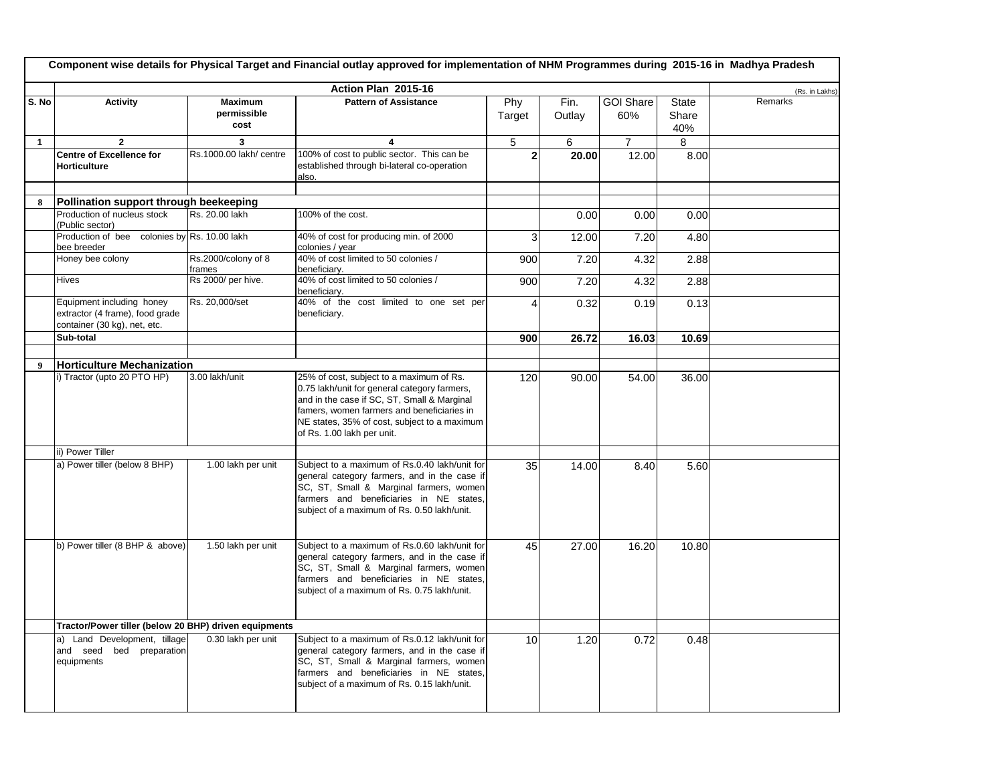|                  | Component wise details for Physical Target and Financial outlay approved for implementation of NHM Programmes during 2015-16 in Madhya Pradesh |                                       |                                                                                                                                                                                                                                                                     |                |                |                         |                              |                |  |  |
|------------------|------------------------------------------------------------------------------------------------------------------------------------------------|---------------------------------------|---------------------------------------------------------------------------------------------------------------------------------------------------------------------------------------------------------------------------------------------------------------------|----------------|----------------|-------------------------|------------------------------|----------------|--|--|
|                  |                                                                                                                                                |                                       | Action Plan 2015-16                                                                                                                                                                                                                                                 |                |                |                         |                              | (Rs. in Lakhs) |  |  |
| S. No            | <b>Activity</b>                                                                                                                                | <b>Maximum</b><br>permissible<br>cost | <b>Pattern of Assistance</b>                                                                                                                                                                                                                                        | Phy<br>Target  | Fin.<br>Outlay | <b>GOI Share</b><br>60% | <b>State</b><br>Share<br>40% | Remarks        |  |  |
| $\mathbf{1}$     | $\overline{2}$                                                                                                                                 | 3                                     | 4                                                                                                                                                                                                                                                                   | 5              | 6              | $\overline{7}$          | 8                            |                |  |  |
|                  | <b>Centre of Excellence for</b><br><b>Horticulture</b>                                                                                         | Rs.1000.00 lakh/ centre               | 100% of cost to public sector. This can be<br>established through bi-lateral co-operation<br>also.                                                                                                                                                                  | $\overline{2}$ | 20.00          | 12.00                   | 8.00                         |                |  |  |
|                  |                                                                                                                                                |                                       |                                                                                                                                                                                                                                                                     |                |                |                         |                              |                |  |  |
| 8                | Pollination support through beekeeping<br>Production of nucleus stock                                                                          | Rs. 20.00 lakh                        | 100% of the cost.                                                                                                                                                                                                                                                   |                |                |                         |                              |                |  |  |
|                  | (Public sector)                                                                                                                                |                                       |                                                                                                                                                                                                                                                                     |                | 0.00           | 0.00                    | 0.00                         |                |  |  |
|                  | Production of bee<br>bee breeder                                                                                                               | colonies by Rs. 10.00 lakh            | 40% of cost for producing min. of 2000<br>colonies / year                                                                                                                                                                                                           | 3              | 12.00          | 7.20                    | 4.80                         |                |  |  |
|                  | Honey bee colony                                                                                                                               | Rs.2000/colony of 8<br>frames         | 40% of cost limited to 50 colonies /<br>beneficiary.                                                                                                                                                                                                                | 900            | 7.20           | 4.32                    | 2.88                         |                |  |  |
|                  | Hives                                                                                                                                          | Rs 2000/ per hive.                    | 40% of cost limited to 50 colonies /<br>beneficiary.                                                                                                                                                                                                                | 900            | 7.20           | 4.32                    | 2.88                         |                |  |  |
|                  | Equipment including honey<br>extractor (4 frame), food grade<br>container (30 kg), net, etc.                                                   | Rs. 20,000/set                        | 40% of the cost limited to one set per<br>beneficiary.                                                                                                                                                                                                              | $\overline{4}$ | 0.32           | 0.19                    | 0.13                         |                |  |  |
|                  | Sub-total                                                                                                                                      |                                       |                                                                                                                                                                                                                                                                     | 900            | 26.72          | 16.03                   | 10.69                        |                |  |  |
|                  |                                                                                                                                                |                                       |                                                                                                                                                                                                                                                                     |                |                |                         |                              |                |  |  |
| $\boldsymbol{Q}$ | <b>Horticulture Mechanization</b>                                                                                                              |                                       |                                                                                                                                                                                                                                                                     |                |                |                         |                              |                |  |  |
|                  | i) Tractor (upto 20 PTO HP)                                                                                                                    | 3.00 lakh/unit                        | 25% of cost, subject to a maximum of Rs.<br>0.75 lakh/unit for general category farmers,<br>and in the case if SC, ST, Small & Marginal<br>famers, women farmers and beneficiaries in<br>NE states, 35% of cost, subject to a maximum<br>of Rs. 1.00 lakh per unit. | 120            | 90.00          | 54.00                   | 36.00                        |                |  |  |
|                  | ii) Power Tiller                                                                                                                               |                                       |                                                                                                                                                                                                                                                                     |                |                |                         |                              |                |  |  |
|                  | a) Power tiller (below 8 BHP)                                                                                                                  | 1.00 lakh per unit                    | Subject to a maximum of Rs.0.40 lakh/unit for<br>general category farmers, and in the case if<br>SC, ST, Small & Marginal farmers, women<br>farmers and beneficiaries in NE states,<br>subject of a maximum of Rs. 0.50 lakh/unit.                                  | 35             | 14.00          | 8.40                    | 5.60                         |                |  |  |
|                  | b) Power tiller (8 BHP & above)                                                                                                                | 1.50 lakh per unit                    | Subject to a maximum of Rs.0.60 lakh/unit for<br>general category farmers, and in the case if<br>SC, ST, Small & Marginal farmers, women<br>farmers and beneficiaries in NE states,<br>subject of a maximum of Rs. 0.75 lakh/unit.                                  | 45             | 27.00          | 16.20                   | 10.80                        |                |  |  |
|                  | Tractor/Power tiller (below 20 BHP) driven equipments                                                                                          |                                       |                                                                                                                                                                                                                                                                     |                |                |                         |                              |                |  |  |
|                  | a) Land Development, tillage<br>and seed bed preparation<br>equipments                                                                         | 0.30 lakh per unit                    | Subject to a maximum of Rs.0.12 lakh/unit for<br>general category farmers, and in the case if<br>SC, ST, Small & Marginal farmers, women<br>farmers and beneficiaries in NE states,<br>subject of a maximum of Rs. 0.15 lakh/unit.                                  | 10             | 1.20           | 0.72                    | 0.48                         |                |  |  |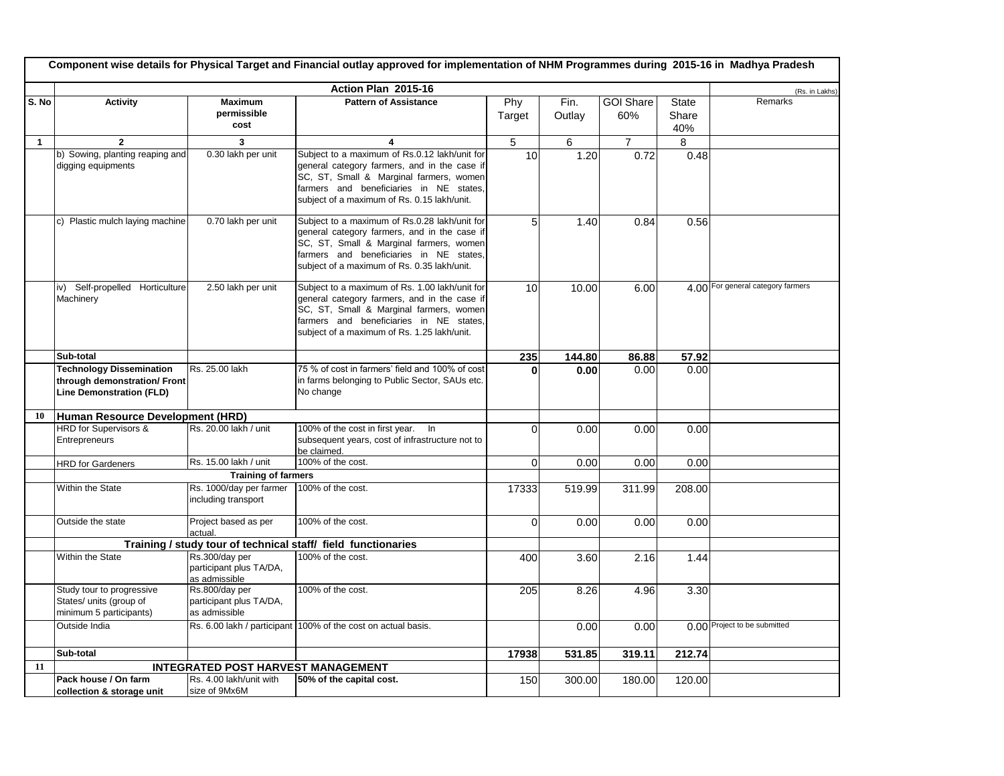|              | Component wise details for Physical Target and Financial outlay approved for implementation of NHM Programmes during 2015-16 in Madhya Pradesh |                                           |                                                                                               |             |        |                  |        |                                   |  |  |
|--------------|------------------------------------------------------------------------------------------------------------------------------------------------|-------------------------------------------|-----------------------------------------------------------------------------------------------|-------------|--------|------------------|--------|-----------------------------------|--|--|
|              |                                                                                                                                                |                                           | Action Plan 2015-16                                                                           |             |        |                  |        | (Rs. in Lakhs)                    |  |  |
| S. No        | <b>Activity</b>                                                                                                                                | <b>Maximum</b>                            | <b>Pattern of Assistance</b>                                                                  | Phy         | Fin.   | <b>GOI Share</b> | State  | Remarks                           |  |  |
|              |                                                                                                                                                | permissible                               |                                                                                               | Target      | Outlay | 60%              | Share  |                                   |  |  |
|              |                                                                                                                                                | cost                                      |                                                                                               |             |        |                  | 40%    |                                   |  |  |
|              | $\overline{2}$                                                                                                                                 | $\overline{\mathbf{3}}$                   | 4                                                                                             |             | 6      | $\overline{7}$   | 8      |                                   |  |  |
| $\mathbf{1}$ |                                                                                                                                                | 0.30 lakh per unit                        |                                                                                               | $\sqrt{5}$  |        |                  |        |                                   |  |  |
|              | b) Sowing, planting reaping and<br>digging equipments                                                                                          |                                           | Subject to a maximum of Rs.0.12 lakh/unit for<br>general category farmers, and in the case if | 10          | 1.20   | 0.72             | 0.48   |                                   |  |  |
|              |                                                                                                                                                |                                           | SC, ST, Small & Marginal farmers, women                                                       |             |        |                  |        |                                   |  |  |
|              |                                                                                                                                                |                                           | farmers and beneficiaries in NE states,                                                       |             |        |                  |        |                                   |  |  |
|              |                                                                                                                                                |                                           | subject of a maximum of Rs. 0.15 lakh/unit.                                                   |             |        |                  |        |                                   |  |  |
|              |                                                                                                                                                |                                           |                                                                                               |             |        |                  |        |                                   |  |  |
|              | c) Plastic mulch laying machine                                                                                                                | 0.70 lakh per unit                        | Subject to a maximum of Rs.0.28 lakh/unit for                                                 | 5           | 1.40   | 0.84             | 0.56   |                                   |  |  |
|              |                                                                                                                                                |                                           | general category farmers, and in the case if                                                  |             |        |                  |        |                                   |  |  |
|              |                                                                                                                                                |                                           | SC, ST, Small & Marginal farmers, women                                                       |             |        |                  |        |                                   |  |  |
|              |                                                                                                                                                |                                           | farmers and beneficiaries in NE states,                                                       |             |        |                  |        |                                   |  |  |
|              |                                                                                                                                                |                                           | subject of a maximum of Rs. 0.35 lakh/unit.                                                   |             |        |                  |        |                                   |  |  |
|              | iv) Self-propelled Horticulture                                                                                                                | 2.50 lakh per unit                        | Subject to a maximum of Rs. 1.00 lakh/unit for                                                |             |        |                  |        | 4.00 For general category farmers |  |  |
|              | Machinery                                                                                                                                      |                                           | general category farmers, and in the case if                                                  | 10          | 10.00  | 6.00             |        |                                   |  |  |
|              |                                                                                                                                                |                                           | SC, ST, Small & Marginal farmers, women                                                       |             |        |                  |        |                                   |  |  |
|              |                                                                                                                                                |                                           | farmers and beneficiaries in NE states,                                                       |             |        |                  |        |                                   |  |  |
|              |                                                                                                                                                |                                           | subject of a maximum of Rs. 1.25 lakh/unit.                                                   |             |        |                  |        |                                   |  |  |
|              |                                                                                                                                                |                                           |                                                                                               |             |        |                  |        |                                   |  |  |
|              | Sub-total                                                                                                                                      |                                           |                                                                                               | 235         | 144.80 | 86.88            | 57.92  |                                   |  |  |
|              | <b>Technology Dissemination</b>                                                                                                                | Rs. 25.00 lakh                            | 75 % of cost in farmers' field and 100% of cost                                               |             | 0.00   | 0.00             | 0.00   |                                   |  |  |
|              | through demonstration/ Front                                                                                                                   |                                           | in farms belonging to Public Sector, SAUs etc.                                                |             |        |                  |        |                                   |  |  |
|              | <b>Line Demonstration (FLD)</b>                                                                                                                |                                           | No change                                                                                     |             |        |                  |        |                                   |  |  |
| 10           | Human Resource Development (HRD)                                                                                                               |                                           |                                                                                               |             |        |                  |        |                                   |  |  |
|              | <b>HRD</b> for Supervisors &                                                                                                                   | Rs. 20.00 lakh / unit                     | 100% of the cost in first year.<br>$\ln$                                                      | $\Omega$    | 0.00   | 0.00             | 0.00   |                                   |  |  |
|              | Entrepreneurs                                                                                                                                  |                                           | subsequent years, cost of infrastructure not to                                               |             |        |                  |        |                                   |  |  |
|              |                                                                                                                                                |                                           | be claimed.                                                                                   |             |        |                  |        |                                   |  |  |
|              | <b>HRD</b> for Gardeners                                                                                                                       | Rs. 15.00 lakh / unit                     | 100% of the cost.                                                                             | 0           | 0.00   | 0.00             | 0.00   |                                   |  |  |
|              |                                                                                                                                                | <b>Training of farmers</b>                |                                                                                               |             |        |                  |        |                                   |  |  |
|              | Within the State                                                                                                                               | Rs. 1000/day per farmer                   | 100% of the cost.                                                                             | 17333       | 519.99 | 311.99           | 208.00 |                                   |  |  |
|              |                                                                                                                                                | including transport                       |                                                                                               |             |        |                  |        |                                   |  |  |
|              |                                                                                                                                                |                                           |                                                                                               |             |        |                  |        |                                   |  |  |
|              | Outside the state                                                                                                                              | Project based as per<br>actual.           | 100% of the cost.                                                                             | $\mathbf 0$ | 0.00   | 0.00             | 0.00   |                                   |  |  |
|              |                                                                                                                                                |                                           | Training / study tour of technical staff/ field functionaries                                 |             |        |                  |        |                                   |  |  |
|              | Within the State                                                                                                                               | Rs.300/day per                            | 100% of the cost.                                                                             | 400         | 3.60   | 2.16             | 1.44   |                                   |  |  |
|              |                                                                                                                                                | participant plus TA/DA,                   |                                                                                               |             |        |                  |        |                                   |  |  |
|              |                                                                                                                                                | as admissible                             |                                                                                               |             |        |                  |        |                                   |  |  |
|              | Study tour to progressive                                                                                                                      | Rs.800/day per                            | 100% of the cost.                                                                             | 205         | 8.26   | 4.96             | 3.30   |                                   |  |  |
|              | States/ units (group of                                                                                                                        | participant plus TA/DA,                   |                                                                                               |             |        |                  |        |                                   |  |  |
|              | minimum 5 participants)                                                                                                                        | as admissible                             |                                                                                               |             |        |                  |        |                                   |  |  |
|              | Outside India                                                                                                                                  |                                           | Rs. 6.00 lakh / participant 100% of the cost on actual basis.                                 |             | 0.00   | 0.00             |        | 0.00 Project to be submitted      |  |  |
|              |                                                                                                                                                |                                           |                                                                                               |             |        |                  |        |                                   |  |  |
|              | Sub-total                                                                                                                                      |                                           |                                                                                               | 17938       | 531.85 | 319.11           | 212.74 |                                   |  |  |
| 11           |                                                                                                                                                | <b>INTEGRATED POST HARVEST MANAGEMENT</b> |                                                                                               |             |        |                  |        |                                   |  |  |
|              | Pack house / On farm                                                                                                                           | Rs. 4.00 lakh/unit with                   | 50% of the capital cost.                                                                      | 150         | 300.00 | 180.00           | 120.00 |                                   |  |  |
|              | collection & storage unit                                                                                                                      | size of 9Mx6M                             |                                                                                               |             |        |                  |        |                                   |  |  |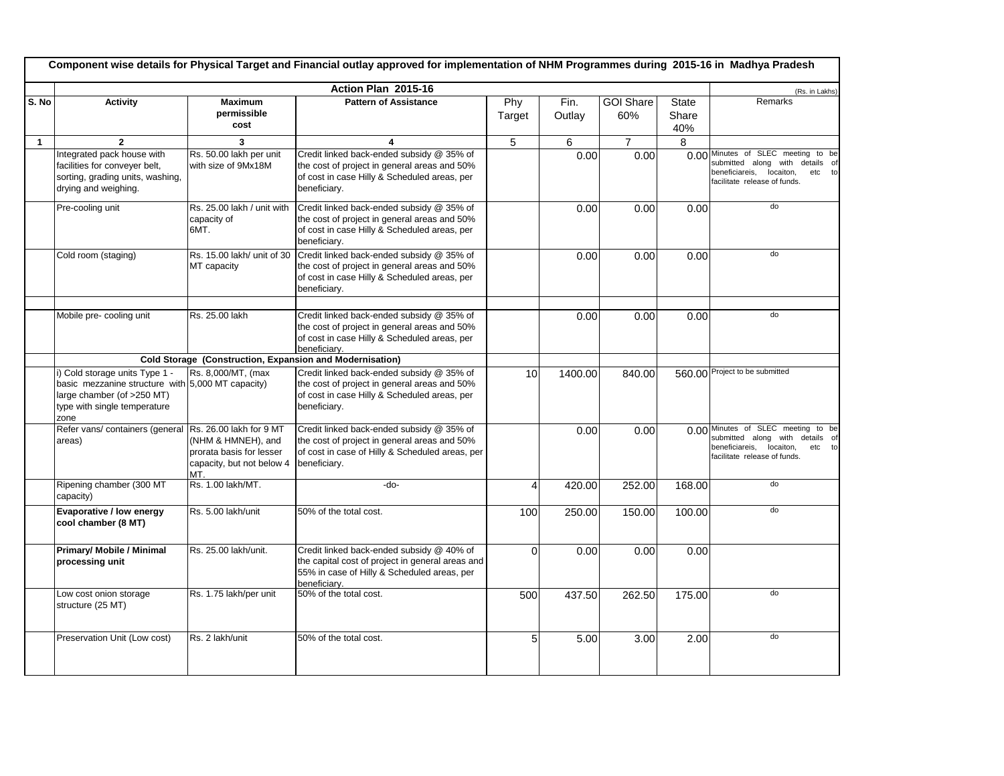|              | Component wise details for Physical Target and Financial outlay approved for implementation of NHM Programmes during 2015-16 in Madhya Pradesh            |                                                                                                               |                                                                                                                                                              |                |                |                         |                              |                                                                                                                                                         |  |  |
|--------------|-----------------------------------------------------------------------------------------------------------------------------------------------------------|---------------------------------------------------------------------------------------------------------------|--------------------------------------------------------------------------------------------------------------------------------------------------------------|----------------|----------------|-------------------------|------------------------------|---------------------------------------------------------------------------------------------------------------------------------------------------------|--|--|
|              |                                                                                                                                                           |                                                                                                               | Action Plan 2015-16                                                                                                                                          |                |                |                         |                              | (Rs. in Lakhs)                                                                                                                                          |  |  |
| S. No        | Activity                                                                                                                                                  | <b>Maximum</b><br>permissible<br>cost                                                                         | <b>Pattern of Assistance</b>                                                                                                                                 | Phy<br>Target  | Fin.<br>Outlay | <b>GOI Share</b><br>60% | <b>State</b><br>Share<br>40% | Remarks                                                                                                                                                 |  |  |
| $\mathbf{1}$ | $\overline{2}$                                                                                                                                            | 3                                                                                                             | 4                                                                                                                                                            | 5              | 6              | $\overline{7}$          | 8                            |                                                                                                                                                         |  |  |
|              | Integrated pack house with<br>facilities for conveyer belt,<br>sorting, grading units, washing,<br>drying and weighing.                                   | Rs. 50.00 lakh per unit<br>with size of 9Mx18M                                                                | Credit linked back-ended subsidy @ 35% of<br>the cost of project in general areas and 50%<br>of cost in case Hilly & Scheduled areas, per<br>beneficiary.    |                | 0.00           | 0.00                    |                              | 0.00 Minutes of SLEC meeting to be<br>submitted along with<br>details of<br>beneficiareis,<br>locaiton,<br>etc to<br>facilitate release of funds.       |  |  |
|              | Pre-cooling unit                                                                                                                                          | Rs. 25.00 lakh / unit with<br>capacity of<br>6MT.                                                             | Credit linked back-ended subsidy @ 35% of<br>the cost of project in general areas and 50%<br>of cost in case Hilly & Scheduled areas, per<br>beneficiary.    |                | 0.00           | 0.00                    | 0.00                         | d <sub>o</sub>                                                                                                                                          |  |  |
|              | Cold room (staging)                                                                                                                                       | Rs. 15.00 lakh/ unit of 30<br>MT capacity                                                                     | Credit linked back-ended subsidy @ 35% of<br>the cost of project in general areas and 50%<br>of cost in case Hilly & Scheduled areas, per<br>beneficiary.    |                | 0.00           | 0.00                    | 0.00                         | do                                                                                                                                                      |  |  |
|              | Mobile pre-cooling unit                                                                                                                                   | Rs. 25.00 lakh                                                                                                | Credit linked back-ended subsidy @ 35% of<br>the cost of project in general areas and 50%<br>of cost in case Hilly & Scheduled areas, per<br>beneficiarv.    |                | 0.00           | 0.00                    | 0.00                         | do                                                                                                                                                      |  |  |
|              | Cold Storage (Construction, Expansion and Modernisation)                                                                                                  |                                                                                                               |                                                                                                                                                              |                |                |                         |                              |                                                                                                                                                         |  |  |
|              | i) Cold storage units Type 1 -<br>basic mezzanine structure with 5,000 MT capacity)<br>large chamber (of >250 MT)<br>type with single temperature<br>zone | Rs. 8,000/MT, (max                                                                                            | Credit linked back-ended subsidy @ 35% of<br>the cost of project in general areas and 50%<br>of cost in case Hilly & Scheduled areas, per<br>beneficiary.    | 10             | 1400.00        | 840.00                  |                              | 560.00 Project to be submitted                                                                                                                          |  |  |
|              | Refer vans/ containers (general<br>areas)                                                                                                                 | Rs. 26.00 lakh for 9 MT<br>(NHM & HMNEH), and<br>prorata basis for lesser<br>capacity, but not below 4<br>MT. | Credit linked back-ended subsidy @ 35% of<br>the cost of project in general areas and 50%<br>of cost in case of Hilly & Scheduled areas, per<br>beneficiary. |                | 0.00           | 0.00                    |                              | 0.00 Minutes of SLEC meeting to be<br>submitted along<br>with<br>details of<br>beneficiareis,<br>locaiton,<br>etc<br>to<br>facilitate release of funds. |  |  |
|              | Ripening chamber (300 MT<br>capacity)                                                                                                                     | Rs. 1.00 lakh/MT.                                                                                             | -do-                                                                                                                                                         | $\overline{4}$ | 420.00         | 252.00                  | 168.00                       | do                                                                                                                                                      |  |  |
|              | Evaporative / low energy<br>cool chamber (8 MT)                                                                                                           | Rs. 5.00 lakh/unit                                                                                            | 50% of the total cost.                                                                                                                                       | 100            | 250.00         | 150.00                  | 100.00                       | do                                                                                                                                                      |  |  |
|              | Primary/ Mobile / Minimal<br>processing unit                                                                                                              | Rs. 25.00 lakh/unit.                                                                                          | Credit linked back-ended subsidy @ 40% of<br>the capital cost of project in general areas and<br>55% in case of Hilly & Scheduled areas, per<br>beneficiary. | $\Omega$       | 0.00           | 0.00                    | 0.00                         |                                                                                                                                                         |  |  |
|              | Low cost onion storage<br>structure (25 MT)                                                                                                               | Rs. 1.75 lakh/per unit                                                                                        | 50% of the total cost.                                                                                                                                       | 500            | 437.50         | 262.50                  | 175.00                       | do                                                                                                                                                      |  |  |
|              | Preservation Unit (Low cost)                                                                                                                              | Rs. 2 lakh/unit                                                                                               | 50% of the total cost.                                                                                                                                       | 5              | 5.00           | 3.00                    | 2.00                         | do                                                                                                                                                      |  |  |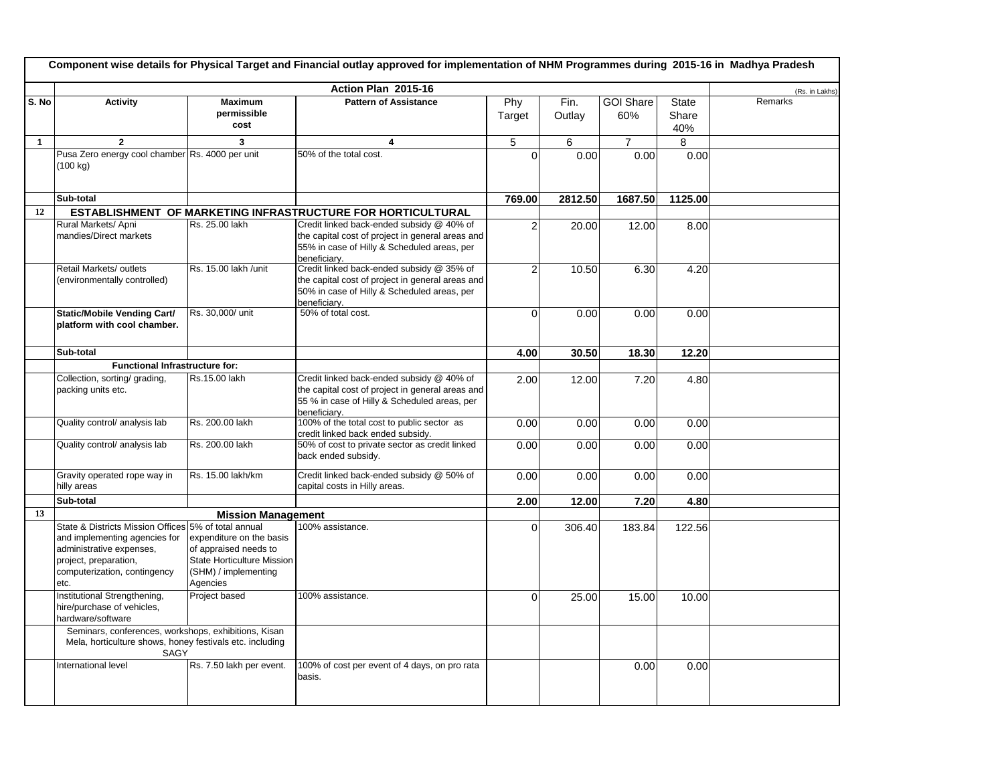|              | Component wise details for Physical Target and Financial outlay approved for implementation of NHM Programmes during 2015-16 in Madhya Pradesh                                     |                                                                                                                     |                                                                                                                                                               |                |                |                         |                |                |  |  |
|--------------|------------------------------------------------------------------------------------------------------------------------------------------------------------------------------------|---------------------------------------------------------------------------------------------------------------------|---------------------------------------------------------------------------------------------------------------------------------------------------------------|----------------|----------------|-------------------------|----------------|----------------|--|--|
|              |                                                                                                                                                                                    |                                                                                                                     | Action Plan 2015-16                                                                                                                                           |                |                |                         |                | (Rs. in Lakhs) |  |  |
| S. No        | <b>Activity</b>                                                                                                                                                                    | <b>Maximum</b><br>permissible<br>cost                                                                               | <b>Pattern of Assistance</b>                                                                                                                                  | Phy<br>Target  | Fin.<br>Outlay | <b>GOI Share</b><br>60% | State<br>Share | Remarks        |  |  |
|              |                                                                                                                                                                                    |                                                                                                                     |                                                                                                                                                               |                |                |                         | 40%            |                |  |  |
| $\mathbf{1}$ | $\overline{2}$                                                                                                                                                                     | 3                                                                                                                   | 4                                                                                                                                                             | 5              | 6              | $\overline{7}$          | 8              |                |  |  |
|              | Pusa Zero energy cool chamber Rs. 4000 per unit<br>$(100 \text{ kg})$                                                                                                              |                                                                                                                     | 50% of the total cost.                                                                                                                                        | $\Omega$       | 0.00           | 0.00                    | 0.00           |                |  |  |
|              | Sub-total                                                                                                                                                                          |                                                                                                                     |                                                                                                                                                               | 769.00         | 2812.50        | 1687.50                 | 1125.00        |                |  |  |
| 12           |                                                                                                                                                                                    |                                                                                                                     | <b>ESTABLISHMENT OF MARKETING INFRASTRUCTURE FOR HORTICULTURAL</b>                                                                                            |                |                |                         |                |                |  |  |
|              | Rural Markets/ Apni<br>mandies/Direct markets                                                                                                                                      | Rs. 25.00 lakh                                                                                                      | Credit linked back-ended subsidy @ 40% of<br>the capital cost of project in general areas and<br>55% in case of Hilly & Scheduled areas, per<br>beneficiary.  | $\overline{c}$ | 20.00          | 12.00                   | 8.00           |                |  |  |
|              | Retail Markets/ outlets<br>(environmentally controlled)                                                                                                                            | Rs. 15.00 lakh / unit                                                                                               | Credit linked back-ended subsidy @ 35% of<br>the capital cost of project in general areas and<br>50% in case of Hilly & Scheduled areas, per<br>beneficiarv.  | $\overline{2}$ | 10.50          | 6.30                    | 4.20           |                |  |  |
|              | <b>Static/Mobile Vending Cart/</b><br>platform with cool chamber.                                                                                                                  | Rs. 30,000/ unit                                                                                                    | 50% of total cost.                                                                                                                                            | $\mathbf 0$    | 0.00           | 0.00                    | 0.00           |                |  |  |
|              | Sub-total                                                                                                                                                                          |                                                                                                                     |                                                                                                                                                               | 4.00           | 30.50          | 18.30                   | 12.20          |                |  |  |
|              | Functional Infrastructure for:                                                                                                                                                     |                                                                                                                     |                                                                                                                                                               |                |                |                         |                |                |  |  |
|              | Collection, sorting/ grading,<br>packing units etc.                                                                                                                                | Rs.15.00 lakh                                                                                                       | Credit linked back-ended subsidy @ 40% of<br>the capital cost of project in general areas and<br>55 % in case of Hilly & Scheduled areas, per<br>beneficiary. | 2.00           | 12.00          | 7.20                    | 4.80           |                |  |  |
|              | Quality control/ analysis lab                                                                                                                                                      | Rs. 200.00 lakh                                                                                                     | 100% of the total cost to public sector as<br>credit linked back ended subsidy.                                                                               | 0.00           | 0.00           | 0.00                    | 0.00           |                |  |  |
|              | Quality control/ analysis lab                                                                                                                                                      | Rs. 200.00 lakh                                                                                                     | 50% of cost to private sector as credit linked<br>back ended subsidy.                                                                                         | 0.00           | 0.00           | 0.00                    | 0.00           |                |  |  |
|              | Gravity operated rope way in<br>hilly areas                                                                                                                                        | Rs. 15.00 lakh/km                                                                                                   | Credit linked back-ended subsidy @ 50% of<br>capital costs in Hilly areas.                                                                                    | 0.00           | 0.00           | 0.00                    | 0.00           |                |  |  |
|              | Sub-total                                                                                                                                                                          |                                                                                                                     |                                                                                                                                                               | 2.00           | 12.00          | 7.20                    | 4.80           |                |  |  |
| 13           |                                                                                                                                                                                    | <b>Mission Management</b>                                                                                           |                                                                                                                                                               |                |                |                         |                |                |  |  |
|              | State & Districts Mission Offices 5% of total annual<br>and implementing agencies for<br>administrative expenses,<br>project, preparation,<br>computerization, contingency<br>etc. | expenditure on the basis<br>of appraised needs to<br>State Horticulture Mission<br>(SHM) / implementing<br>Agencies | 100% assistance.                                                                                                                                              | $\Omega$       | 306.40         | 183.84                  | 122.56         |                |  |  |
|              | Institutional Strengthening,<br>hire/purchase of vehicles,<br>hardware/software                                                                                                    | Project based                                                                                                       | 100% assistance.                                                                                                                                              | $\Omega$       | 25.00          | 15.00                   | 10.00          |                |  |  |
|              | Seminars, conferences, workshops, exhibitions, Kisan<br>Mela, horticulture shows, honey festivals etc. including<br>SAGY                                                           |                                                                                                                     |                                                                                                                                                               |                |                |                         |                |                |  |  |
|              | International level                                                                                                                                                                | Rs. 7.50 lakh per event.                                                                                            | 100% of cost per event of 4 days, on pro rata<br>basis.                                                                                                       |                |                | 0.00                    | 0.00           |                |  |  |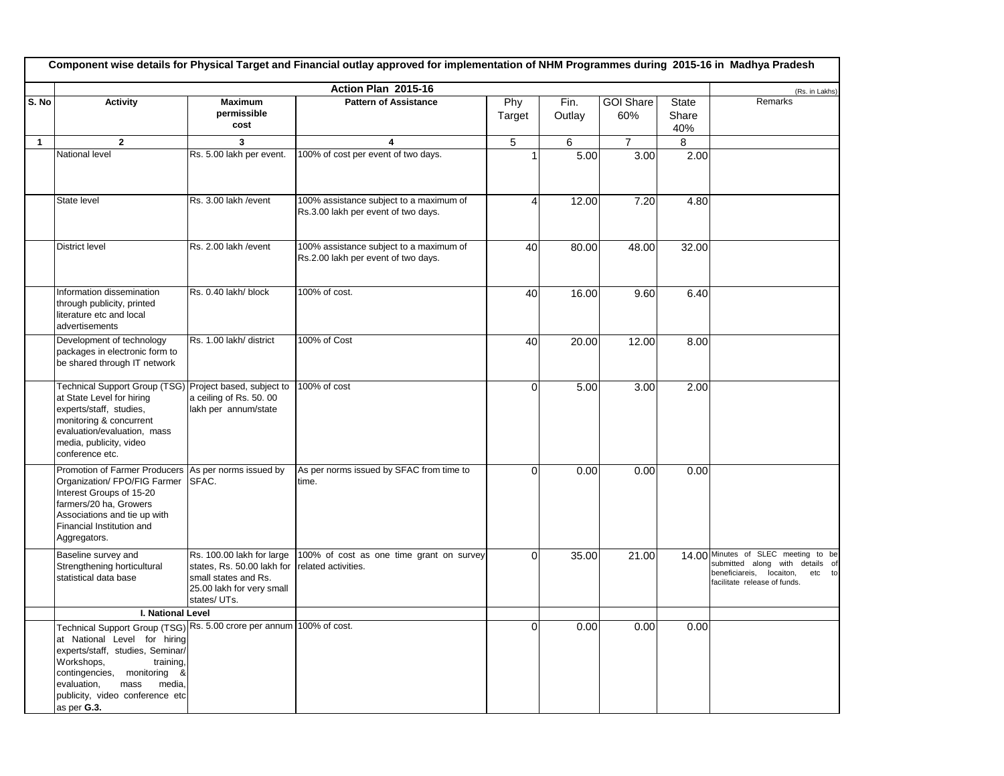| Component wise details for Physical Target and Financial outlay approved for implementation of NHM Programmes during 2015-16 in Madhya Pradesh |                                                                                                                                                                                                                                                                                          |                                                                                                                                                  |                                                                                |                |                |                         |                       |                                                                                                                                                 |  |
|------------------------------------------------------------------------------------------------------------------------------------------------|------------------------------------------------------------------------------------------------------------------------------------------------------------------------------------------------------------------------------------------------------------------------------------------|--------------------------------------------------------------------------------------------------------------------------------------------------|--------------------------------------------------------------------------------|----------------|----------------|-------------------------|-----------------------|-------------------------------------------------------------------------------------------------------------------------------------------------|--|
|                                                                                                                                                |                                                                                                                                                                                                                                                                                          | (Rs. in Lakhs)                                                                                                                                   |                                                                                |                |                |                         |                       |                                                                                                                                                 |  |
| S. No                                                                                                                                          | <b>Activity</b>                                                                                                                                                                                                                                                                          | <b>Maximum</b><br>permissible<br>cost                                                                                                            | <b>Pattern of Assistance</b>                                                   | Phy<br>Target  | Fin.<br>Outlay | <b>GOI Share</b><br>60% | State<br>Share<br>40% | Remarks                                                                                                                                         |  |
| $\mathbf{1}$                                                                                                                                   | $\overline{2}$                                                                                                                                                                                                                                                                           | 3                                                                                                                                                | 4                                                                              | 5              | 6              | $\overline{7}$          | 8                     |                                                                                                                                                 |  |
|                                                                                                                                                | National level                                                                                                                                                                                                                                                                           | Rs. 5.00 lakh per event.                                                                                                                         | 100% of cost per event of two days.                                            | $\mathbf{1}$   | 5.00           | 3.00                    | 2.00                  |                                                                                                                                                 |  |
|                                                                                                                                                | State level                                                                                                                                                                                                                                                                              | Rs. 3.00 lakh / event                                                                                                                            | 100% assistance subject to a maximum of<br>Rs.3.00 lakh per event of two days. | $\overline{4}$ | 12.00          | 7.20                    | 4.80                  |                                                                                                                                                 |  |
|                                                                                                                                                | <b>District level</b>                                                                                                                                                                                                                                                                    | Rs. 2.00 lakh / event                                                                                                                            | 100% assistance subject to a maximum of<br>Rs.2.00 lakh per event of two days. | 40             | 80.00          | 48.00                   | 32.00                 |                                                                                                                                                 |  |
|                                                                                                                                                | Information dissemination<br>through publicity, printed<br>literature etc and local<br>advertisements                                                                                                                                                                                    | Rs. 0.40 lakh/ block                                                                                                                             | 100% of cost.                                                                  | 40             | 16.00          | 9.60                    | 6.40                  |                                                                                                                                                 |  |
|                                                                                                                                                | Development of technology<br>packages in electronic form to<br>be shared through IT network                                                                                                                                                                                              | Rs. 1.00 lakh/ district                                                                                                                          | 100% of Cost                                                                   | 40             | 20.00          | 12.00                   | 8.00                  |                                                                                                                                                 |  |
|                                                                                                                                                | Technical Support Group (TSG)<br>at State Level for hiring<br>experts/staff, studies,<br>monitoring & concurrent<br>evaluation/evaluation, mass<br>media, publicity, video<br>conference etc.                                                                                            | Project based, subject to<br>a ceiling of Rs. 50.00<br>lakh per annum/state                                                                      | 100% of cost                                                                   | $\Omega$       | 5.00           | 3.00                    | 2.00                  |                                                                                                                                                 |  |
|                                                                                                                                                | Promotion of Farmer Producers<br>Organization/ FPO/FIG Farmer<br>Interest Groups of 15-20<br>farmers/20 ha, Growers<br>Associations and tie up with<br>Financial Institution and<br>Aggregators.                                                                                         | As per norms issued by<br>SFAC.                                                                                                                  | As per norms issued by SFAC from time to<br>time.                              | $\Omega$       | 0.00           | 0.00                    | 0.00                  |                                                                                                                                                 |  |
|                                                                                                                                                | Baseline survey and<br>Strengthening horticultural<br>statistical data base                                                                                                                                                                                                              | Rs. 100.00 lakh for large<br>states, Rs. 50.00 lakh for related activities.<br>small states and Rs.<br>25.00 lakh for very small<br>states/ UTs. | 100% of cost as one time grant on survey                                       | $\Omega$       | 35.00          | 21.00                   |                       | 14.00 Minutes of SLEC meeting to be<br>submitted along with details of<br>beneficiareis,<br>locaiton,<br>etc to<br>facilitate release of funds. |  |
|                                                                                                                                                | I. National Level                                                                                                                                                                                                                                                                        |                                                                                                                                                  |                                                                                |                |                |                         |                       |                                                                                                                                                 |  |
|                                                                                                                                                | Technical Support Group (TSG) Rs. 5.00 crore per annum 100% of cost.<br>at National Level for hiring<br>experts/staff, studies, Seminar/<br>Workshops,<br>training,<br>contingencies,<br>monitoring &<br>evaluation,<br>mass<br>media,<br>publicity, video conference etc<br>as per G.3. |                                                                                                                                                  |                                                                                | $\Omega$       | 0.00           | 0.00                    | 0.00                  |                                                                                                                                                 |  |